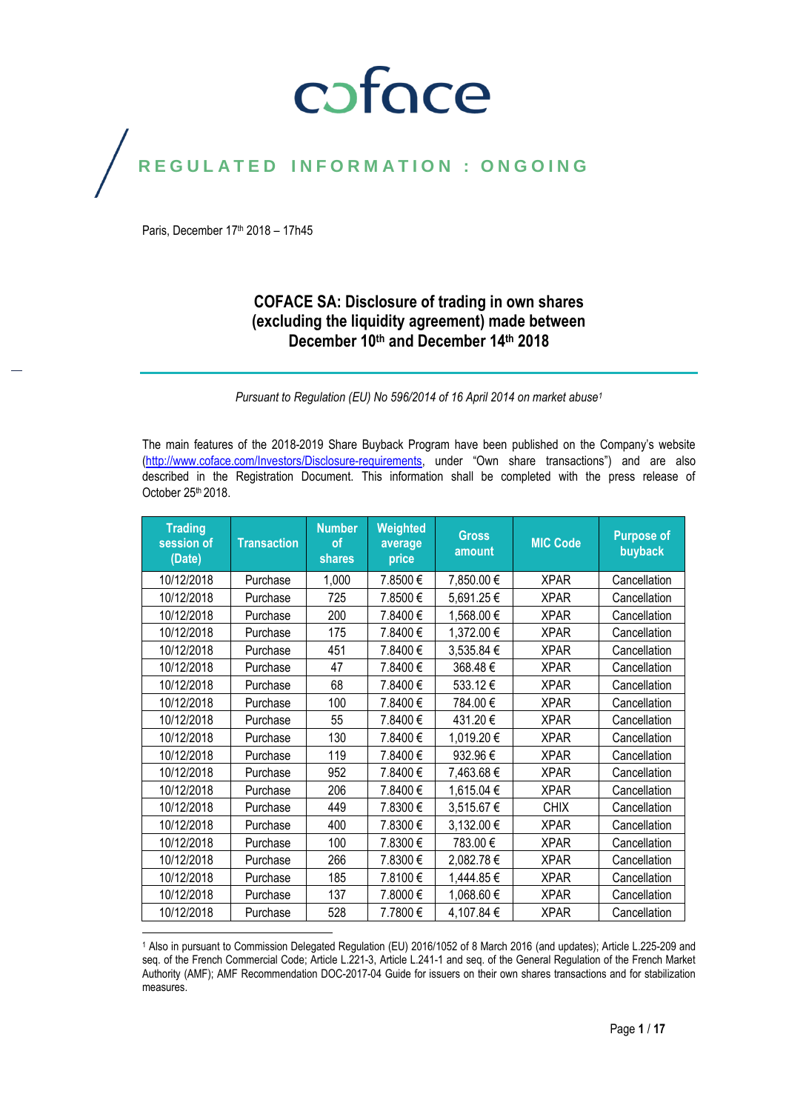### coface

### REGULATED INFORMATION : ONGOING

Paris, December 17<sup>th</sup> 2018 - 17h45

#### **COFACE SA: Disclosure of trading in own shares (excluding the liquidity agreement) made between December 10th and December 14th 2018**

*Pursuant to Regulation (EU) No 596/2014 of 16 April 2014 on market abuse<sup>1</sup>*

The main features of the 2018-2019 Share Buyback Program have been published on the Company's website [\(http://www.coface.com/Investors/Disclosure-requirements](http://www.coface.com/Investors/Disclosure-requirements), under "Own share transactions") and are also described in the Registration Document. This information shall be completed with the press release of October 25<sup>th</sup> 2018.

| <b>Trading</b><br>session of<br>(Date) | <b>Transaction</b> | <b>Number</b><br>of<br><b>shares</b> | Weighted<br>average<br>price | <b>Gross</b><br>amount | <b>MIC Code</b> | <b>Purpose of</b><br>buyback |
|----------------------------------------|--------------------|--------------------------------------|------------------------------|------------------------|-----------------|------------------------------|
| 10/12/2018                             | Purchase           | 1,000                                | 7.8500€                      | 7,850.00€              | <b>XPAR</b>     | Cancellation                 |
| 10/12/2018                             | Purchase           | 725                                  | 7.8500€                      | 5,691.25€              | <b>XPAR</b>     | Cancellation                 |
| 10/12/2018                             | Purchase           | 200                                  | 7.8400€                      | 1,568.00 €             | <b>XPAR</b>     | Cancellation                 |
| 10/12/2018                             | Purchase           | 175                                  | 7.8400€                      | 1,372.00 €             | <b>XPAR</b>     | Cancellation                 |
| 10/12/2018                             | Purchase           | 451                                  | 7.8400€                      | 3,535.84 €             | <b>XPAR</b>     | Cancellation                 |
| 10/12/2018                             | Purchase           | 47                                   | 7.8400 €                     | 368.48€                | <b>XPAR</b>     | Cancellation                 |
| 10/12/2018                             | Purchase           | 68                                   | 7.8400€                      | 533.12€                | <b>XPAR</b>     | Cancellation                 |
| 10/12/2018                             | Purchase           | 100                                  | 7.8400€                      | 784.00€                | <b>XPAR</b>     | Cancellation                 |
| 10/12/2018                             | Purchase           | 55                                   | 7.8400€                      | 431.20€                | <b>XPAR</b>     | Cancellation                 |
| 10/12/2018                             | Purchase           | 130                                  | 7.8400€                      | 1,019.20€              | <b>XPAR</b>     | Cancellation                 |
| 10/12/2018                             | Purchase           | 119                                  | 7.8400€                      | 932.96€                | <b>XPAR</b>     | Cancellation                 |
| 10/12/2018                             | Purchase           | 952                                  | 7.8400 €                     | 7,463.68€              | <b>XPAR</b>     | Cancellation                 |
| 10/12/2018                             | Purchase           | 206                                  | 7.8400€                      | 1,615.04 €             | <b>XPAR</b>     | Cancellation                 |
| 10/12/2018                             | Purchase           | 449                                  | 7.8300€                      | 3,515.67€              | <b>CHIX</b>     | Cancellation                 |
| 10/12/2018                             | Purchase           | 400                                  | 7.8300€                      | 3,132.00 €             | <b>XPAR</b>     | Cancellation                 |
| 10/12/2018                             | Purchase           | 100                                  | 7.8300€                      | 783.00€                | <b>XPAR</b>     | Cancellation                 |
| 10/12/2018                             | Purchase           | 266                                  | 7.8300€                      | 2,082.78€              | <b>XPAR</b>     | Cancellation                 |
| 10/12/2018                             | Purchase           | 185                                  | 7.8100€                      | 1,444.85 €             | <b>XPAR</b>     | Cancellation                 |
| 10/12/2018                             | Purchase           | 137                                  | 7.8000€                      | 1,068.60€              | <b>XPAR</b>     | Cancellation                 |
| 10/12/2018                             | Purchase           | 528                                  | 7.7800€                      | 4,107.84 €             | <b>XPAR</b>     | Cancellation                 |

<sup>1</sup> Also in pursuant to Commission Delegated Regulation (EU) 2016/1052 of 8 March 2016 (and updates); Article L.225-209 and seq. of the French Commercial Code; Article L.221-3, Article L.241-1 and seq. of the General Regulation of the French Market Authority (AMF); AMF Recommendation DOC-2017-04 Guide for issuers on their own shares transactions and for stabilization measures.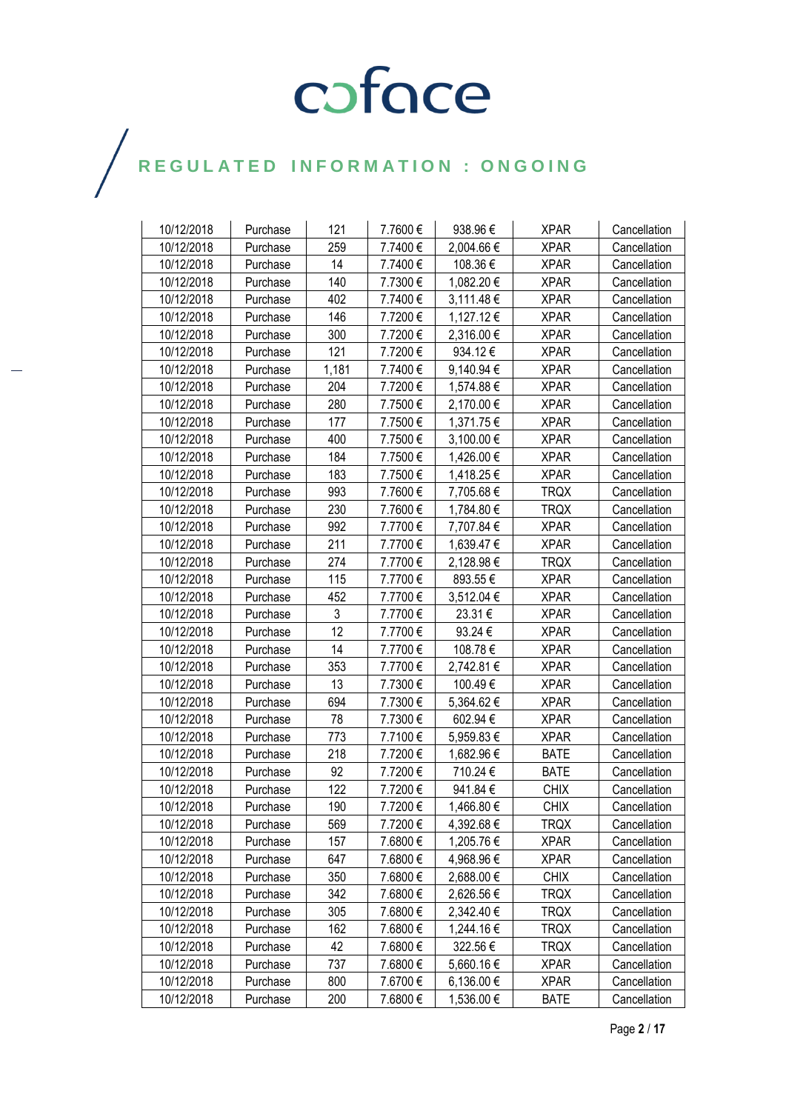| 10/12/2018 | Purchase | 121   | 7.7600€  | 938.96€    | <b>XPAR</b> | Cancellation |
|------------|----------|-------|----------|------------|-------------|--------------|
| 10/12/2018 | Purchase | 259   | 7.7400€  | 2,004.66 € | <b>XPAR</b> | Cancellation |
| 10/12/2018 | Purchase | 14    | 7.7400€  | 108.36€    | <b>XPAR</b> | Cancellation |
| 10/12/2018 | Purchase | 140   | 7.7300€  | 1,082.20 € | <b>XPAR</b> | Cancellation |
| 10/12/2018 | Purchase | 402   | 7.7400€  | 3,111.48 € | <b>XPAR</b> | Cancellation |
| 10/12/2018 | Purchase | 146   | 7.7200€  | 1,127.12€  | <b>XPAR</b> | Cancellation |
| 10/12/2018 | Purchase | 300   | 7.7200€  | 2,316.00 € | <b>XPAR</b> | Cancellation |
| 10/12/2018 | Purchase | 121   | 7.7200€  | 934.12€    | <b>XPAR</b> | Cancellation |
| 10/12/2018 | Purchase | 1,181 | 7.7400€  | 9,140.94 € | <b>XPAR</b> | Cancellation |
| 10/12/2018 | Purchase | 204   | 7.7200€  | 1,574.88 € | <b>XPAR</b> | Cancellation |
| 10/12/2018 | Purchase | 280   | 7.7500€  | 2,170.00 € | <b>XPAR</b> | Cancellation |
| 10/12/2018 | Purchase | 177   | 7.7500€  | 1,371.75 € | <b>XPAR</b> | Cancellation |
| 10/12/2018 | Purchase | 400   | 7.7500€  | 3,100.00 € | <b>XPAR</b> | Cancellation |
| 10/12/2018 | Purchase | 184   | 7.7500€  | 1,426.00 € | <b>XPAR</b> | Cancellation |
| 10/12/2018 | Purchase | 183   | 7.7500€  | 1,418.25 € | <b>XPAR</b> | Cancellation |
| 10/12/2018 | Purchase | 993   | 7.7600€  | 7,705.68€  | <b>TRQX</b> | Cancellation |
| 10/12/2018 | Purchase | 230   | 7.7600€  | 1,784.80 € | <b>TRQX</b> | Cancellation |
| 10/12/2018 | Purchase | 992   | 7.7700€  | 7,707.84 € | <b>XPAR</b> | Cancellation |
| 10/12/2018 | Purchase | 211   | 7.7700€  | 1,639.47 € | <b>XPAR</b> | Cancellation |
| 10/12/2018 | Purchase | 274   | 7.7700€  | 2,128.98 € | <b>TRQX</b> | Cancellation |
| 10/12/2018 | Purchase | 115   | 7.7700€  | 893.55€    | <b>XPAR</b> | Cancellation |
| 10/12/2018 | Purchase | 452   | 7.7700€  | 3,512.04 € | <b>XPAR</b> | Cancellation |
| 10/12/2018 | Purchase | 3     | 7.7700€  | 23.31€     | <b>XPAR</b> | Cancellation |
| 10/12/2018 | Purchase | 12    | 7.7700€  | 93.24 €    | <b>XPAR</b> | Cancellation |
| 10/12/2018 | Purchase | 14    | 7.7700€  | 108.78€    | <b>XPAR</b> | Cancellation |
| 10/12/2018 | Purchase | 353   | 7.7700€  | 2,742.81 € | <b>XPAR</b> | Cancellation |
| 10/12/2018 | Purchase | 13    | 7.7300€  | 100.49€    | <b>XPAR</b> | Cancellation |
| 10/12/2018 | Purchase | 694   | 7.7300€  | 5,364.62 € | <b>XPAR</b> | Cancellation |
| 10/12/2018 | Purchase | 78    | 7.7300€  | 602.94€    | <b>XPAR</b> | Cancellation |
| 10/12/2018 | Purchase | 773   | 7.7100€  | 5,959.83 € | <b>XPAR</b> | Cancellation |
| 10/12/2018 | Purchase | 218   | 7.7200€  | 1,682.96€  | <b>BATE</b> | Cancellation |
| 10/12/2018 | Purchase | 92    | 7.7200€  | 710.24€    | <b>BATE</b> | Cancellation |
| 10/12/2018 | Purchase | 122   | 7.7200€  | 941.84€    | <b>CHIX</b> | Cancellation |
| 10/12/2018 | Purchase | 190   | 7.7200€  | 1,466.80 € | <b>CHIX</b> | Cancellation |
| 10/12/2018 | Purchase | 569   | 7.7200€  | 4,392.68 € | <b>TRQX</b> | Cancellation |
| 10/12/2018 | Purchase | 157   | 7.6800€  | 1,205.76€  | <b>XPAR</b> | Cancellation |
| 10/12/2018 | Purchase | 647   | 7.6800€  | 4,968.96 € | <b>XPAR</b> | Cancellation |
| 10/12/2018 | Purchase | 350   | 7.6800€  | 2,688.00 € | <b>CHIX</b> | Cancellation |
| 10/12/2018 | Purchase | 342   | 7.6800€  | 2,626.56 € | <b>TRQX</b> | Cancellation |
| 10/12/2018 | Purchase | 305   | 7.6800€  | 2,342.40 € | <b>TRQX</b> | Cancellation |
| 10/12/2018 | Purchase | 162   | 7.6800€  | 1,244.16 € | <b>TRQX</b> | Cancellation |
| 10/12/2018 | Purchase | 42    | 7.6800€  | 322.56€    | <b>TRQX</b> | Cancellation |
| 10/12/2018 | Purchase | 737   | 7.6800€  | 5,660.16 € | <b>XPAR</b> | Cancellation |
| 10/12/2018 | Purchase | 800   | 7.6700€  | 6,136.00 € | <b>XPAR</b> | Cancellation |
| 10/12/2018 | Purchase | 200   | 7.6800 € | 1,536.00 € | <b>BATE</b> | Cancellation |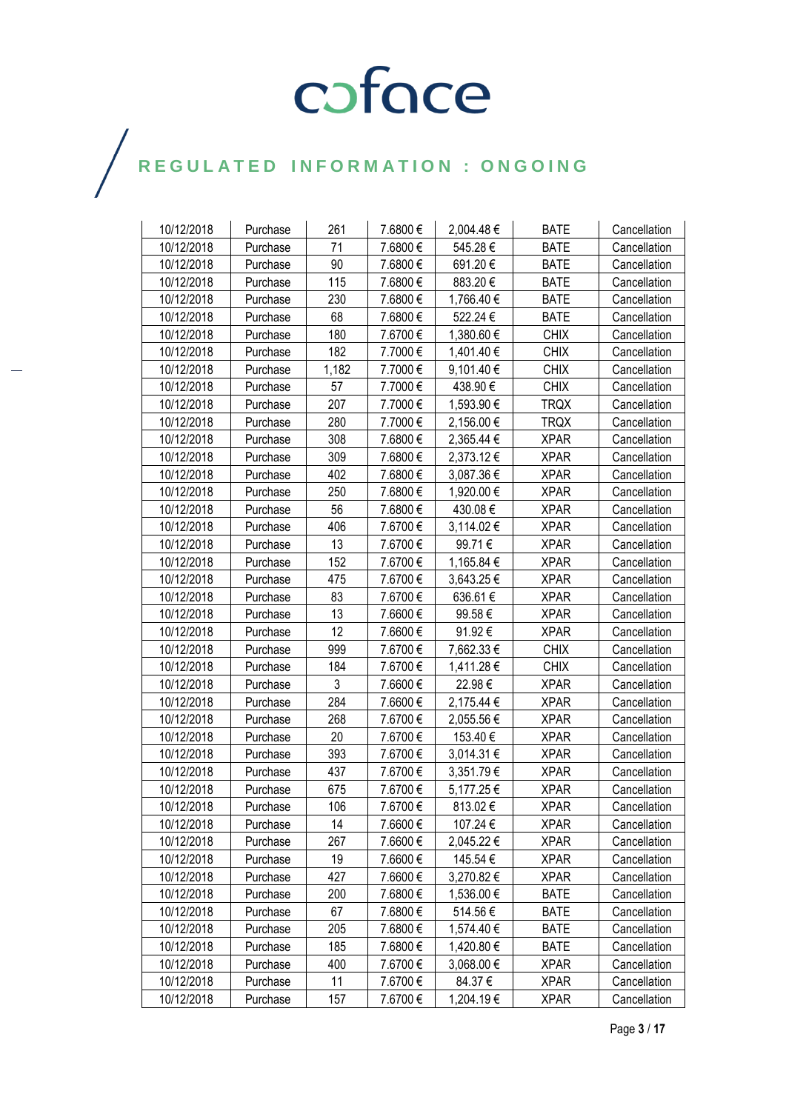| 10/12/2018 | Purchase | 261   | 7.6800€  | 2,004.48€  | <b>BATE</b> | Cancellation |
|------------|----------|-------|----------|------------|-------------|--------------|
| 10/12/2018 | Purchase | 71    | 7.6800€  | 545.28€    | <b>BATE</b> | Cancellation |
| 10/12/2018 | Purchase | 90    | 7.6800€  | 691.20€    | <b>BATE</b> | Cancellation |
| 10/12/2018 | Purchase | 115   | 7.6800€  | 883.20€    | <b>BATE</b> | Cancellation |
| 10/12/2018 | Purchase | 230   | 7.6800€  | 1,766.40 € | <b>BATE</b> | Cancellation |
| 10/12/2018 | Purchase | 68    | 7.6800€  | 522.24€    | <b>BATE</b> | Cancellation |
| 10/12/2018 | Purchase | 180   | 7.6700€  | 1,380.60 € | <b>CHIX</b> | Cancellation |
| 10/12/2018 | Purchase | 182   | 7.7000€  | 1,401.40 € | <b>CHIX</b> | Cancellation |
| 10/12/2018 | Purchase | 1,182 | 7.7000€  | 9,101.40 € | <b>CHIX</b> | Cancellation |
| 10/12/2018 | Purchase | 57    | 7.7000€  | 438.90€    | <b>CHIX</b> | Cancellation |
| 10/12/2018 | Purchase | 207   | 7.7000€  | 1,593.90 € | <b>TRQX</b> | Cancellation |
| 10/12/2018 | Purchase | 280   | 7.7000€  | 2,156.00 € | <b>TRQX</b> | Cancellation |
| 10/12/2018 | Purchase | 308   | 7.6800€  | 2,365.44 € | <b>XPAR</b> | Cancellation |
| 10/12/2018 | Purchase | 309   | 7.6800€  | 2,373.12€  | <b>XPAR</b> | Cancellation |
| 10/12/2018 | Purchase | 402   | 7.6800€  | 3,087.36 € | <b>XPAR</b> | Cancellation |
| 10/12/2018 | Purchase | 250   | 7.6800€  | 1,920.00 € | <b>XPAR</b> | Cancellation |
| 10/12/2018 | Purchase | 56    | 7.6800€  | 430.08€    | <b>XPAR</b> | Cancellation |
| 10/12/2018 | Purchase | 406   | 7.6700€  | 3,114.02 € | <b>XPAR</b> | Cancellation |
| 10/12/2018 | Purchase | 13    | 7.6700€  | 99.71€     | <b>XPAR</b> | Cancellation |
| 10/12/2018 | Purchase | 152   | 7.6700€  | 1,165.84 € | <b>XPAR</b> | Cancellation |
| 10/12/2018 | Purchase | 475   | 7.6700€  | 3,643.25 € | <b>XPAR</b> | Cancellation |
| 10/12/2018 | Purchase | 83    | 7.6700€  | 636.61€    | <b>XPAR</b> | Cancellation |
| 10/12/2018 | Purchase | 13    | 7.6600€  | 99.58€     | <b>XPAR</b> | Cancellation |
| 10/12/2018 | Purchase | 12    | 7.6600€  | 91.92€     | <b>XPAR</b> | Cancellation |
| 10/12/2018 | Purchase | 999   | 7.6700€  | 7,662.33 € | <b>CHIX</b> | Cancellation |
| 10/12/2018 | Purchase | 184   | 7.6700€  | 1,411.28 € | <b>CHIX</b> | Cancellation |
| 10/12/2018 | Purchase | 3     | 7.6600€  | 22.98€     | <b>XPAR</b> | Cancellation |
| 10/12/2018 | Purchase | 284   | 7.6600€  | 2,175.44 € | <b>XPAR</b> | Cancellation |
| 10/12/2018 | Purchase | 268   | 7.6700€  | 2,055.56€  | <b>XPAR</b> | Cancellation |
| 10/12/2018 | Purchase | 20    | 7.6700€  | 153.40€    | <b>XPAR</b> | Cancellation |
| 10/12/2018 | Purchase | 393   | 7.6700€  | 3,014.31 € | <b>XPAR</b> | Cancellation |
| 10/12/2018 | Purchase | 437   | 7.6700 € | 3,351.79€  | <b>XPAR</b> | Cancellation |
| 10/12/2018 | Purchase | 675   | 7.6700€  | 5,177.25€  | <b>XPAR</b> | Cancellation |
| 10/12/2018 | Purchase | 106   | 7.6700€  | 813.02€    | <b>XPAR</b> | Cancellation |
| 10/12/2018 | Purchase | 14    | 7.6600€  | 107.24 €   | <b>XPAR</b> | Cancellation |
| 10/12/2018 | Purchase | 267   | 7.6600€  | 2,045.22€  | <b>XPAR</b> | Cancellation |
| 10/12/2018 | Purchase | 19    | 7.6600 € | 145.54 €   | <b>XPAR</b> | Cancellation |
| 10/12/2018 | Purchase | 427   | 7.6600€  | 3,270.82 € | <b>XPAR</b> | Cancellation |
| 10/12/2018 | Purchase | 200   | 7.6800€  | 1,536.00 € | <b>BATE</b> | Cancellation |
| 10/12/2018 | Purchase | 67    | 7.6800€  | 514.56€    | <b>BATE</b> | Cancellation |
| 10/12/2018 | Purchase | 205   | 7.6800€  | 1,574.40 € | <b>BATE</b> | Cancellation |
| 10/12/2018 | Purchase | 185   | 7.6800€  | 1,420.80 € | <b>BATE</b> | Cancellation |
| 10/12/2018 | Purchase | 400   | 7.6700€  | 3,068.00 € | <b>XPAR</b> | Cancellation |
| 10/12/2018 | Purchase | 11    | 7.6700 € | 84.37€     | <b>XPAR</b> | Cancellation |
| 10/12/2018 | Purchase | 157   | 7.6700€  | 1,204.19€  | <b>XPAR</b> | Cancellation |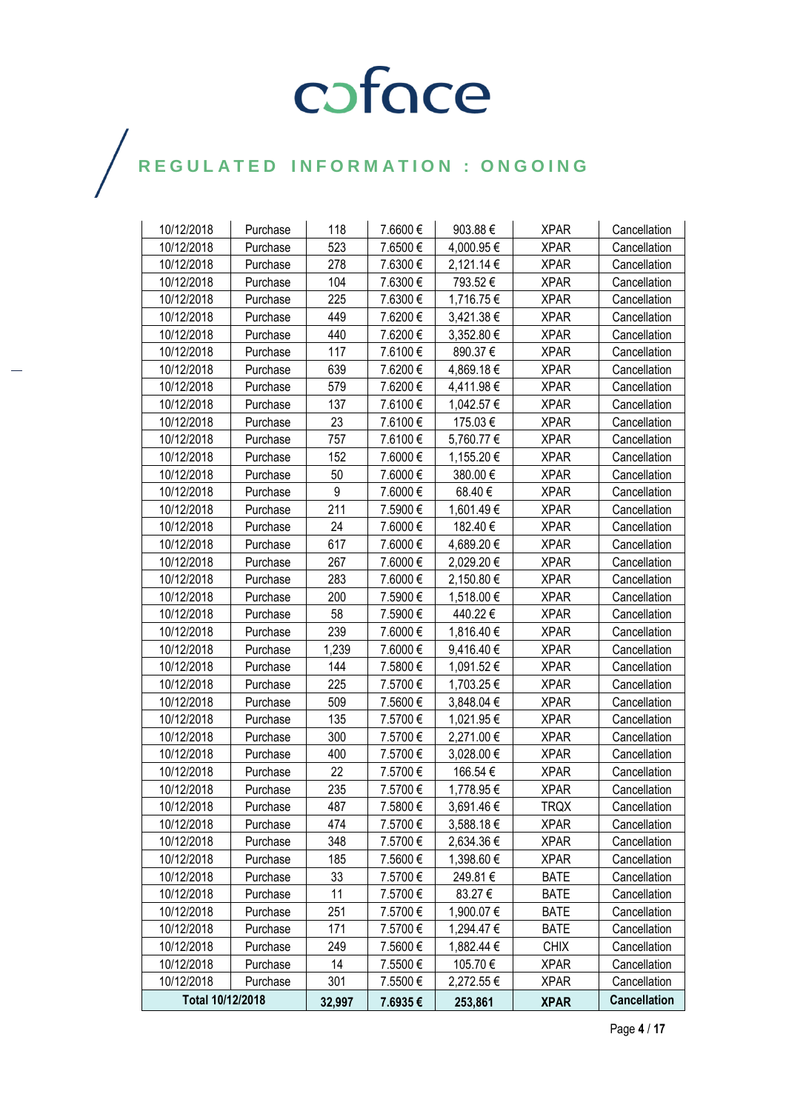| 10/12/2018       | Purchase | 118    | 7.6600€ | 903.88€        | <b>XPAR</b> | Cancellation        |
|------------------|----------|--------|---------|----------------|-------------|---------------------|
| 10/12/2018       | Purchase | 523    | 7.6500€ | 4,000.95 €     | <b>XPAR</b> | Cancellation        |
| 10/12/2018       | Purchase | 278    | 7.6300€ | 2,121.14 €     | <b>XPAR</b> | Cancellation        |
| 10/12/2018       | Purchase | 104    | 7.6300€ | 793.52€        | <b>XPAR</b> | Cancellation        |
| 10/12/2018       | Purchase | 225    | 7.6300€ | 1,716.75€      | <b>XPAR</b> | Cancellation        |
| 10/12/2018       | Purchase | 449    | 7.6200€ | 3,421.38 €     | <b>XPAR</b> | Cancellation        |
| 10/12/2018       | Purchase | 440    | 7.6200€ | 3,352.80 €     | <b>XPAR</b> | Cancellation        |
| 10/12/2018       | Purchase | 117    | 7.6100€ | 890.37€        | <b>XPAR</b> | Cancellation        |
| 10/12/2018       | Purchase | 639    | 7.6200€ | 4,869.18€      | <b>XPAR</b> | Cancellation        |
| 10/12/2018       | Purchase | 579    | 7.6200€ | 4,411.98€      | <b>XPAR</b> | Cancellation        |
| 10/12/2018       | Purchase | 137    | 7.6100€ | 1,042.57 €     | <b>XPAR</b> | Cancellation        |
| 10/12/2018       | Purchase | 23     | 7.6100€ | 175.03€        | <b>XPAR</b> | Cancellation        |
| 10/12/2018       | Purchase | 757    | 7.6100€ | 5,760.77€      | <b>XPAR</b> | Cancellation        |
| 10/12/2018       | Purchase | 152    | 7.6000€ | 1,155.20 €     | <b>XPAR</b> | Cancellation        |
| 10/12/2018       | Purchase | 50     | 7.6000€ | 380.00€        | <b>XPAR</b> | Cancellation        |
| 10/12/2018       | Purchase | 9      | 7.6000€ | 68.40€         | <b>XPAR</b> | Cancellation        |
| 10/12/2018       | Purchase | 211    | 7.5900€ | 1,601.49€      | <b>XPAR</b> | Cancellation        |
| 10/12/2018       | Purchase | 24     | 7.6000€ | 182.40 €       | <b>XPAR</b> | Cancellation        |
| 10/12/2018       | Purchase | 617    | 7.6000€ | 4,689.20 €     | <b>XPAR</b> | Cancellation        |
| 10/12/2018       | Purchase | 267    | 7.6000€ | 2,029.20€      | <b>XPAR</b> | Cancellation        |
| 10/12/2018       | Purchase | 283    | 7.6000€ | 2,150.80 €     | <b>XPAR</b> | Cancellation        |
| 10/12/2018       | Purchase | 200    | 7.5900€ | 1,518.00 €     | <b>XPAR</b> | Cancellation        |
| 10/12/2018       | Purchase | 58     | 7.5900€ | 440.22€        | <b>XPAR</b> | Cancellation        |
| 10/12/2018       | Purchase | 239    | 7.6000€ | 1,816.40 €     | <b>XPAR</b> | Cancellation        |
| 10/12/2018       | Purchase | 1,239  | 7.6000€ | 9,416.40 €     | <b>XPAR</b> | Cancellation        |
| 10/12/2018       | Purchase | 144    | 7.5800€ | 1,091.52 €     | <b>XPAR</b> | Cancellation        |
| 10/12/2018       | Purchase | 225    | 7.5700€ | 1,703.25 €     | <b>XPAR</b> | Cancellation        |
| 10/12/2018       | Purchase | 509    | 7.5600€ | 3,848.04 €     | <b>XPAR</b> | Cancellation        |
| 10/12/2018       | Purchase | 135    | 7.5700€ | 1,021.95 €     | <b>XPAR</b> | Cancellation        |
| 10/12/2018       | Purchase | 300    | 7.5700€ | 2,271.00 €     | <b>XPAR</b> | Cancellation        |
| 10/12/2018       | Purchase | 400    | 7.5700€ | 3,028.00 €     | <b>XPAR</b> | Cancellation        |
| 10/12/2018       | Purchase | 22     | 7.5700€ | 166.54€        | <b>XPAR</b> | Cancellation        |
| 10/12/2018       | Purchase | 235    | 7.5700€ | 1,778.95€      | <b>XPAR</b> | Cancellation        |
| 10/12/2018       | Purchase | 487    | 7.5800€ | 3,691.46€      | <b>TRQX</b> | Cancellation        |
| 10/12/2018       | Purchase | 474    | 7.5700€ | $3,588.18 \in$ | <b>XPAR</b> | Cancellation        |
| 10/12/2018       | Purchase | 348    | 7.5700€ | 2,634.36 €     | <b>XPAR</b> | Cancellation        |
| 10/12/2018       | Purchase | 185    | 7.5600€ | 1,398.60 €     | <b>XPAR</b> | Cancellation        |
| 10/12/2018       | Purchase | 33     | 7.5700€ | 249.81 €       | <b>BATE</b> | Cancellation        |
| 10/12/2018       | Purchase | 11     | 7.5700€ | 83.27 €        | <b>BATE</b> | Cancellation        |
| 10/12/2018       | Purchase | 251    | 7.5700€ | 1,900.07 €     | <b>BATE</b> | Cancellation        |
| 10/12/2018       | Purchase | 171    | 7.5700€ | 1,294.47 €     | <b>BATE</b> | Cancellation        |
| 10/12/2018       | Purchase | 249    | 7.5600€ | 1,882.44 €     | <b>CHIX</b> | Cancellation        |
| 10/12/2018       | Purchase | 14     | 7.5500€ | 105.70€        | <b>XPAR</b> | Cancellation        |
| 10/12/2018       | Purchase | 301    | 7.5500€ | 2,272.55 €     | <b>XPAR</b> | Cancellation        |
| Total 10/12/2018 |          | 32,997 | 7.6935€ | 253,861        | <b>XPAR</b> | <b>Cancellation</b> |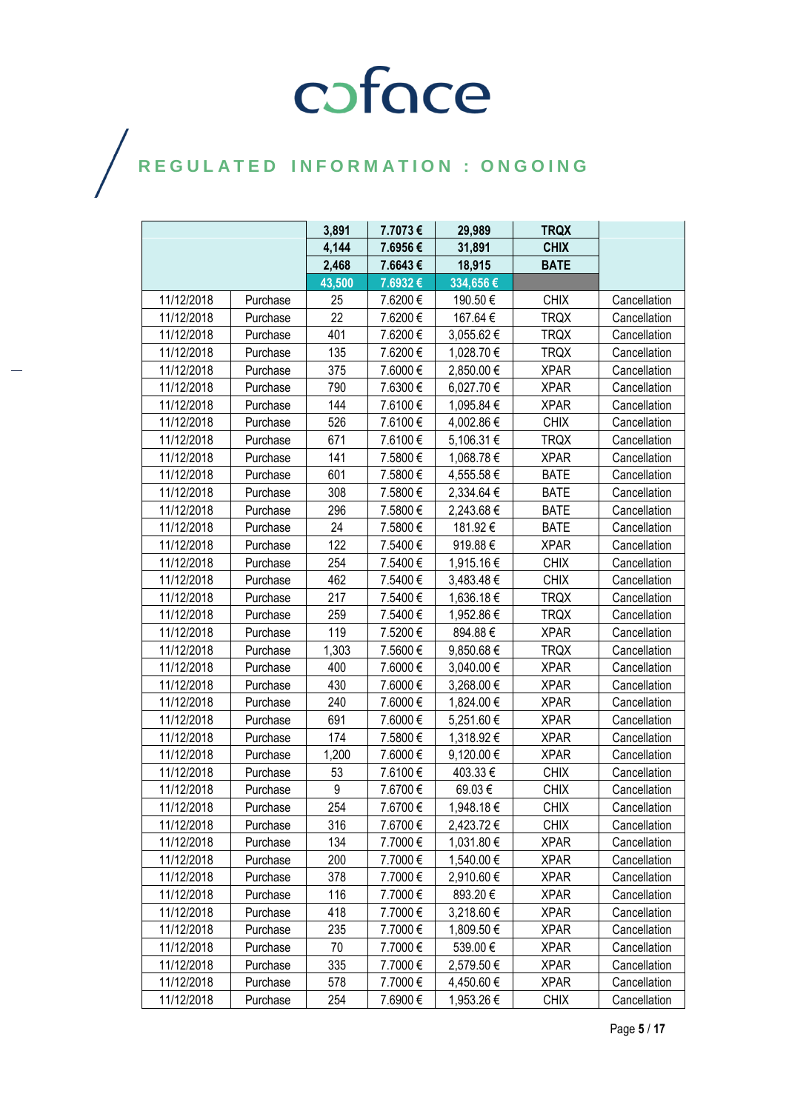|            |          | 3,891  | 7.7073€ | 29,989     | <b>TRQX</b> |              |
|------------|----------|--------|---------|------------|-------------|--------------|
|            |          | 4,144  | 7.6956€ | 31,891     | <b>CHIX</b> |              |
|            |          | 2,468  | 7.6643€ | 18,915     | <b>BATE</b> |              |
|            |          | 43,500 | 7.6932€ | 334,656€   |             |              |
| 11/12/2018 | Purchase | 25     | 7.6200€ | 190.50€    | <b>CHIX</b> | Cancellation |
| 11/12/2018 | Purchase | 22     | 7.6200€ | 167.64€    | <b>TRQX</b> | Cancellation |
| 11/12/2018 | Purchase | 401    | 7.6200€ | 3,055.62 € | <b>TRQX</b> | Cancellation |
| 11/12/2018 | Purchase | 135    | 7.6200€ | 1,028.70 € | <b>TRQX</b> | Cancellation |
| 11/12/2018 | Purchase | 375    | 7.6000€ | 2,850.00 € | <b>XPAR</b> | Cancellation |
| 11/12/2018 | Purchase | 790    | 7.6300€ | 6,027.70 € | <b>XPAR</b> | Cancellation |
| 11/12/2018 | Purchase | 144    | 7.6100€ | 1,095.84 € | <b>XPAR</b> | Cancellation |
| 11/12/2018 | Purchase | 526    | 7.6100€ | 4,002.86 € | <b>CHIX</b> | Cancellation |
| 11/12/2018 | Purchase | 671    | 7.6100€ | 5,106.31 € | <b>TRQX</b> | Cancellation |
| 11/12/2018 | Purchase | 141    | 7.5800€ | 1,068.78 € | <b>XPAR</b> | Cancellation |
| 11/12/2018 | Purchase | 601    | 7.5800€ | 4,555.58€  | <b>BATE</b> | Cancellation |
| 11/12/2018 | Purchase | 308    | 7.5800€ | 2,334.64 € | <b>BATE</b> | Cancellation |
| 11/12/2018 | Purchase | 296    | 7.5800€ | 2,243.68 € | <b>BATE</b> | Cancellation |
| 11/12/2018 | Purchase | 24     | 7.5800€ | 181.92€    | <b>BATE</b> | Cancellation |
| 11/12/2018 | Purchase | 122    | 7.5400€ | 919.88€    | <b>XPAR</b> | Cancellation |
| 11/12/2018 | Purchase | 254    | 7.5400€ | 1,915.16€  | <b>CHIX</b> | Cancellation |
| 11/12/2018 | Purchase | 462    | 7.5400€ | 3,483.48 € | <b>CHIX</b> | Cancellation |
| 11/12/2018 | Purchase | 217    | 7.5400€ | 1,636.18 € | <b>TRQX</b> | Cancellation |
| 11/12/2018 | Purchase | 259    | 7.5400€ | 1,952.86 € | <b>TRQX</b> | Cancellation |
| 11/12/2018 | Purchase | 119    | 7.5200€ | 894.88€    | <b>XPAR</b> | Cancellation |
| 11/12/2018 | Purchase | 1,303  | 7.5600€ | 9,850.68€  | <b>TRQX</b> | Cancellation |
| 11/12/2018 | Purchase | 400    | 7.6000€ | 3,040.00 € | <b>XPAR</b> | Cancellation |
| 11/12/2018 | Purchase | 430    | 7.6000€ | 3,268.00 € | <b>XPAR</b> | Cancellation |
| 11/12/2018 | Purchase | 240    | 7.6000€ | 1,824.00 € | <b>XPAR</b> | Cancellation |
| 11/12/2018 | Purchase | 691    | 7.6000€ | 5,251.60 € | <b>XPAR</b> | Cancellation |
| 11/12/2018 | Purchase | 174    | 7.5800€ | 1,318.92 € | <b>XPAR</b> | Cancellation |
| 11/12/2018 | Purchase | 1,200  | 7.6000€ | 9,120.00 € | <b>XPAR</b> | Cancellation |
| 11/12/2018 | Purchase | 53     | 7.6100€ | 403.33€    | <b>CHIX</b> | Cancellation |
| 11/12/2018 | Purchase | 9      | 7.6700€ | 69.03€     | <b>CHIX</b> | Cancellation |
| 11/12/2018 | Purchase | 254    | 7.6700€ | 1,948.18€  | <b>CHIX</b> | Cancellation |
| 11/12/2018 | Purchase | 316    | 7.6700€ | 2,423.72 € | <b>CHIX</b> | Cancellation |
| 11/12/2018 | Purchase | 134    | 7.7000€ | 1,031.80 € | <b>XPAR</b> | Cancellation |
| 11/12/2018 | Purchase | 200    | 7.7000€ | 1,540.00 € | <b>XPAR</b> | Cancellation |
| 11/12/2018 | Purchase | 378    | 7.7000€ | 2,910.60 € | <b>XPAR</b> | Cancellation |
| 11/12/2018 | Purchase | 116    | 7.7000€ | 893.20€    | <b>XPAR</b> | Cancellation |
| 11/12/2018 | Purchase | 418    | 7.7000€ | 3,218.60€  | <b>XPAR</b> | Cancellation |
| 11/12/2018 | Purchase | 235    | 7.7000€ | 1,809.50 € | <b>XPAR</b> | Cancellation |
| 11/12/2018 | Purchase | 70     | 7.7000€ | 539.00€    | <b>XPAR</b> | Cancellation |
| 11/12/2018 | Purchase | 335    | 7.7000€ | 2,579.50 € | <b>XPAR</b> | Cancellation |
| 11/12/2018 | Purchase | 578    | 7.7000€ | 4,450.60 € | <b>XPAR</b> | Cancellation |
| 11/12/2018 | Purchase | 254    | 7.6900€ | 1,953.26 € | <b>CHIX</b> | Cancellation |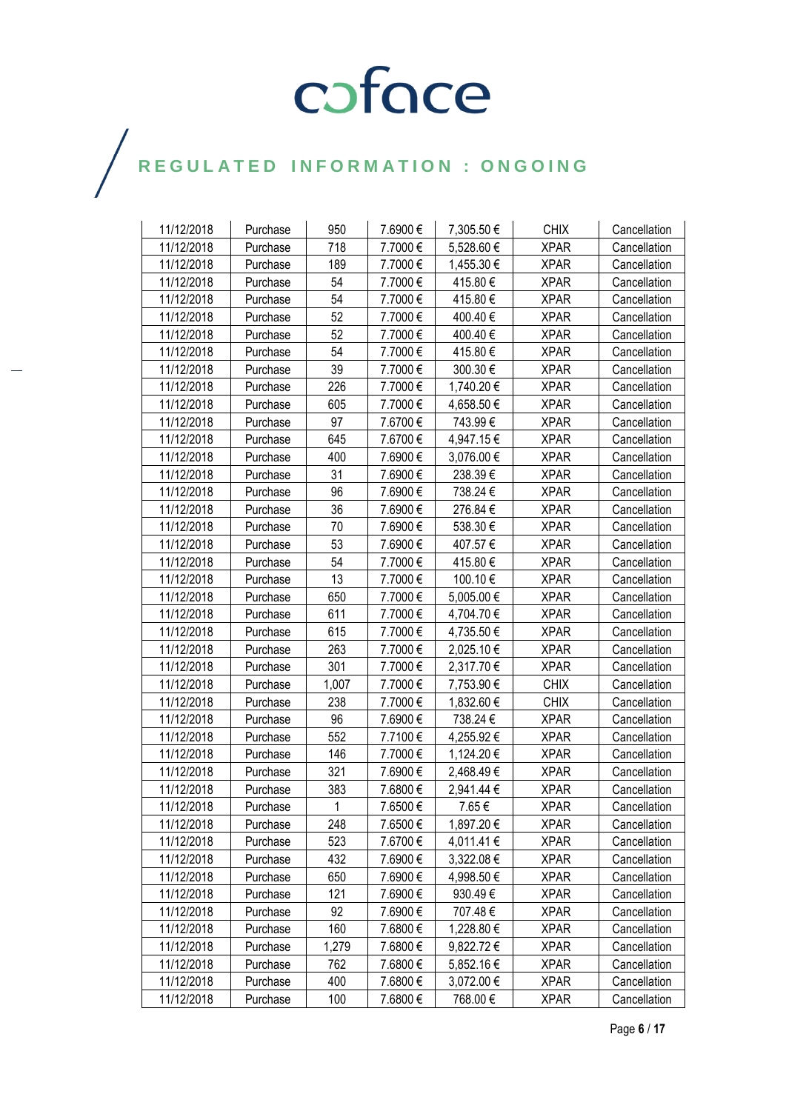| 11/12/2018 | Purchase | 950          | 7.6900 € | 7,305.50€  | <b>CHIX</b> | Cancellation |
|------------|----------|--------------|----------|------------|-------------|--------------|
| 11/12/2018 | Purchase | 718          | 7.7000€  | 5,528.60 € | <b>XPAR</b> | Cancellation |
| 11/12/2018 | Purchase | 189          | 7.7000€  | 1,455.30 € | <b>XPAR</b> | Cancellation |
| 11/12/2018 | Purchase | 54           | 7.7000€  | 415.80€    | <b>XPAR</b> | Cancellation |
| 11/12/2018 | Purchase | 54           | 7.7000€  | 415.80€    | <b>XPAR</b> | Cancellation |
| 11/12/2018 | Purchase | 52           | 7.7000€  | 400.40€    | <b>XPAR</b> | Cancellation |
| 11/12/2018 | Purchase | 52           | 7.7000€  | 400.40€    | <b>XPAR</b> | Cancellation |
| 11/12/2018 | Purchase | 54           | 7.7000€  | 415.80€    | <b>XPAR</b> | Cancellation |
| 11/12/2018 | Purchase | 39           | 7.7000€  | 300.30€    | <b>XPAR</b> | Cancellation |
| 11/12/2018 | Purchase | 226          | 7.7000€  | 1,740.20€  | <b>XPAR</b> | Cancellation |
| 11/12/2018 | Purchase | 605          | 7.7000€  | 4,658.50€  | <b>XPAR</b> | Cancellation |
| 11/12/2018 | Purchase | 97           | 7.6700€  | 743.99€    | <b>XPAR</b> | Cancellation |
| 11/12/2018 | Purchase | 645          | 7.6700€  | 4,947.15€  | <b>XPAR</b> | Cancellation |
| 11/12/2018 | Purchase | 400          | 7.6900€  | 3,076.00 € | <b>XPAR</b> | Cancellation |
| 11/12/2018 | Purchase | 31           | 7.6900€  | 238.39€    | <b>XPAR</b> | Cancellation |
| 11/12/2018 | Purchase | 96           | 7.6900€  | 738.24 €   | <b>XPAR</b> | Cancellation |
| 11/12/2018 | Purchase | 36           | 7.6900€  | 276.84€    | <b>XPAR</b> | Cancellation |
| 11/12/2018 | Purchase | 70           | 7.6900€  | 538.30€    | <b>XPAR</b> | Cancellation |
| 11/12/2018 | Purchase | 53           | 7.6900€  | 407.57€    | <b>XPAR</b> | Cancellation |
| 11/12/2018 | Purchase | 54           | 7.7000€  | 415.80€    | <b>XPAR</b> | Cancellation |
| 11/12/2018 | Purchase | 13           | 7.7000€  | 100.10€    | <b>XPAR</b> | Cancellation |
| 11/12/2018 | Purchase | 650          | 7.7000€  | 5,005.00€  | <b>XPAR</b> | Cancellation |
| 11/12/2018 | Purchase | 611          | 7.7000€  | 4,704.70€  | <b>XPAR</b> | Cancellation |
| 11/12/2018 | Purchase | 615          | 7.7000€  | 4,735.50 € | <b>XPAR</b> | Cancellation |
| 11/12/2018 | Purchase | 263          | 7.7000€  | 2,025.10 € | <b>XPAR</b> | Cancellation |
| 11/12/2018 | Purchase | 301          | 7.7000€  | 2,317.70 € | <b>XPAR</b> | Cancellation |
| 11/12/2018 | Purchase | 1,007        | 7.7000€  | 7,753.90 € | <b>CHIX</b> | Cancellation |
| 11/12/2018 | Purchase | 238          | 7.7000€  | 1,832.60 € | <b>CHIX</b> | Cancellation |
| 11/12/2018 | Purchase | 96           | 7.6900€  | 738.24 €   | <b>XPAR</b> | Cancellation |
| 11/12/2018 | Purchase | 552          | 7.7100€  | 4,255.92 € | <b>XPAR</b> | Cancellation |
| 11/12/2018 | Purchase | 146          | 7.7000€  | 1,124.20€  | <b>XPAR</b> | Cancellation |
| 11/12/2018 | Purchase | 321          | 7.6900€  | 2,468.49€  | <b>XPAR</b> | Cancellation |
| 11/12/2018 | Purchase | 383          | 7.6800€  | 2,941.44 € | <b>XPAR</b> | Cancellation |
| 11/12/2018 | Purchase | $\mathbf{1}$ | 7.6500€  | 7.65€      | <b>XPAR</b> | Cancellation |
| 11/12/2018 | Purchase | 248          | 7.6500€  | 1,897.20 € | <b>XPAR</b> | Cancellation |
| 11/12/2018 | Purchase | 523          | 7.6700€  | 4,011.41 € | <b>XPAR</b> | Cancellation |
| 11/12/2018 | Purchase | 432          | 7.6900€  | 3,322.08 € | <b>XPAR</b> | Cancellation |
| 11/12/2018 | Purchase | 650          | 7.6900€  | 4,998.50 € | <b>XPAR</b> | Cancellation |
| 11/12/2018 | Purchase | 121          | 7.6900€  | 930.49€    | <b>XPAR</b> | Cancellation |
| 11/12/2018 | Purchase | 92           | 7.6900€  | 707.48€    | <b>XPAR</b> | Cancellation |
| 11/12/2018 | Purchase | 160          | 7.6800€  | 1,228.80 € | <b>XPAR</b> | Cancellation |
| 11/12/2018 | Purchase | 1,279        | 7.6800€  | 9,822.72€  | <b>XPAR</b> | Cancellation |
| 11/12/2018 | Purchase | 762          | 7.6800€  | 5,852.16 € | <b>XPAR</b> | Cancellation |
| 11/12/2018 | Purchase | 400          | 7.6800€  | 3,072.00 € | <b>XPAR</b> | Cancellation |
| 11/12/2018 | Purchase | 100          | 7.6800€  | 768.00€    | <b>XPAR</b> | Cancellation |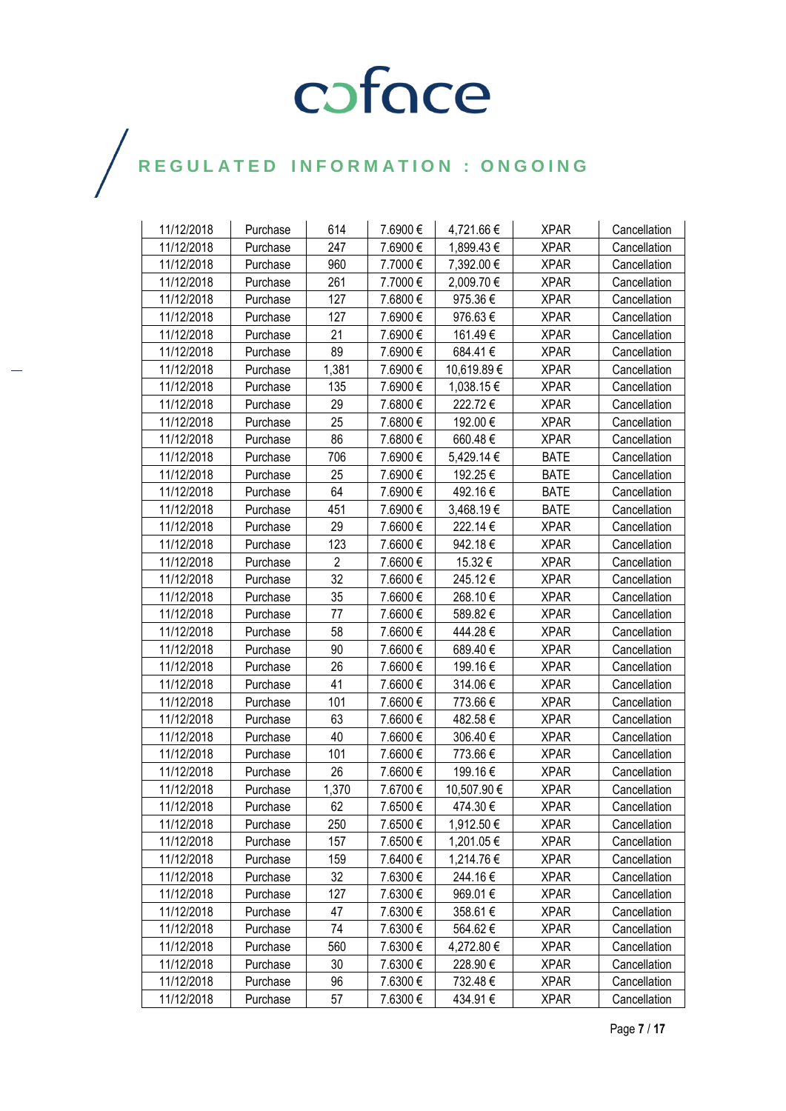| 11/12/2018 | Purchase | 614            | 7.6900 € | 4,721.66€   | <b>XPAR</b> | Cancellation |
|------------|----------|----------------|----------|-------------|-------------|--------------|
| 11/12/2018 | Purchase | 247            | 7.6900€  | 1,899.43€   | <b>XPAR</b> | Cancellation |
| 11/12/2018 | Purchase | 960            | 7.7000€  | 7,392.00 €  | <b>XPAR</b> | Cancellation |
| 11/12/2018 | Purchase | 261            | 7.7000€  | 2,009.70€   | <b>XPAR</b> | Cancellation |
| 11/12/2018 | Purchase | 127            | 7.6800€  | 975.36€     | <b>XPAR</b> | Cancellation |
| 11/12/2018 | Purchase | 127            | 7.6900€  | 976.63€     | <b>XPAR</b> | Cancellation |
| 11/12/2018 | Purchase | 21             | 7.6900€  | 161.49€     | <b>XPAR</b> | Cancellation |
| 11/12/2018 | Purchase | 89             | 7.6900€  | 684.41€     | <b>XPAR</b> | Cancellation |
| 11/12/2018 | Purchase | 1,381          | 7.6900€  | 10,619.89€  | <b>XPAR</b> | Cancellation |
| 11/12/2018 | Purchase | 135            | 7.6900€  | 1,038.15€   | <b>XPAR</b> | Cancellation |
| 11/12/2018 | Purchase | 29             | 7.6800€  | 222.72€     | <b>XPAR</b> | Cancellation |
| 11/12/2018 | Purchase | 25             | 7.6800€  | 192.00€     | <b>XPAR</b> | Cancellation |
| 11/12/2018 | Purchase | 86             | 7.6800€  | 660.48€     | <b>XPAR</b> | Cancellation |
| 11/12/2018 | Purchase | 706            | 7.6900€  | 5,429.14 €  | <b>BATE</b> | Cancellation |
| 11/12/2018 | Purchase | 25             | 7.6900€  | 192.25€     | <b>BATE</b> | Cancellation |
| 11/12/2018 | Purchase | 64             | 7.6900€  | 492.16€     | <b>BATE</b> | Cancellation |
| 11/12/2018 | Purchase | 451            | 7.6900€  | 3,468.19€   | <b>BATE</b> | Cancellation |
| 11/12/2018 | Purchase | 29             | 7.6600€  | 222.14€     | <b>XPAR</b> | Cancellation |
| 11/12/2018 | Purchase | 123            | 7.6600€  | 942.18€     | <b>XPAR</b> | Cancellation |
| 11/12/2018 | Purchase | $\overline{2}$ | 7.6600€  | 15.32 €     | <b>XPAR</b> | Cancellation |
| 11/12/2018 | Purchase | 32             | 7.6600€  | 245.12€     | <b>XPAR</b> | Cancellation |
| 11/12/2018 | Purchase | 35             | 7.6600€  | 268.10€     | <b>XPAR</b> | Cancellation |
| 11/12/2018 | Purchase | 77             | 7.6600€  | 589.82€     | <b>XPAR</b> | Cancellation |
| 11/12/2018 | Purchase | 58             | 7.6600€  | 444.28€     | <b>XPAR</b> | Cancellation |
| 11/12/2018 | Purchase | 90             | 7.6600€  | 689.40€     | <b>XPAR</b> | Cancellation |
| 11/12/2018 | Purchase | 26             | 7.6600€  | 199.16€     | <b>XPAR</b> | Cancellation |
| 11/12/2018 | Purchase | 41             | 7.6600€  | 314.06€     | <b>XPAR</b> | Cancellation |
| 11/12/2018 | Purchase | 101            | 7.6600€  | 773.66€     | <b>XPAR</b> | Cancellation |
| 11/12/2018 | Purchase | 63             | 7.6600€  | 482.58€     | <b>XPAR</b> | Cancellation |
| 11/12/2018 | Purchase | 40             | 7.6600€  | 306.40€     | <b>XPAR</b> | Cancellation |
| 11/12/2018 | Purchase | 101            | 7.6600€  | 773.66€     | <b>XPAR</b> | Cancellation |
| 11/12/2018 | Purchase | 26             | 7.6600€  | 199.16€     | <b>XPAR</b> | Cancellation |
| 11/12/2018 | Purchase | 1,370          | 7.6700€  | 10,507.90 € | <b>XPAR</b> | Cancellation |
| 11/12/2018 | Purchase | 62             | 7.6500€  | 474.30€     | <b>XPAR</b> | Cancellation |
| 11/12/2018 | Purchase | 250            | 7.6500 € | 1,912.50 €  | <b>XPAR</b> | Cancellation |
| 11/12/2018 | Purchase | 157            | 7.6500€  | 1,201.05 €  | <b>XPAR</b> | Cancellation |
| 11/12/2018 | Purchase | 159            | 7.6400€  | 1,214.76 €  | <b>XPAR</b> | Cancellation |
| 11/12/2018 | Purchase | 32             | 7.6300€  | 244.16€     | <b>XPAR</b> | Cancellation |
| 11/12/2018 | Purchase | 127            | 7.6300€  | 969.01€     | <b>XPAR</b> | Cancellation |
| 11/12/2018 | Purchase | 47             | 7.6300€  | 358.61€     | <b>XPAR</b> | Cancellation |
| 11/12/2018 | Purchase | 74             | 7.6300 € | 564.62€     | <b>XPAR</b> | Cancellation |
| 11/12/2018 | Purchase | 560            | 7.6300€  | 4,272.80 €  | <b>XPAR</b> | Cancellation |
| 11/12/2018 | Purchase | 30             | 7.6300€  | 228.90 €    | <b>XPAR</b> | Cancellation |
| 11/12/2018 | Purchase | 96             | 7.6300€  | 732.48€     | <b>XPAR</b> | Cancellation |
| 11/12/2018 | Purchase | 57             | 7.6300€  | 434.91€     | <b>XPAR</b> | Cancellation |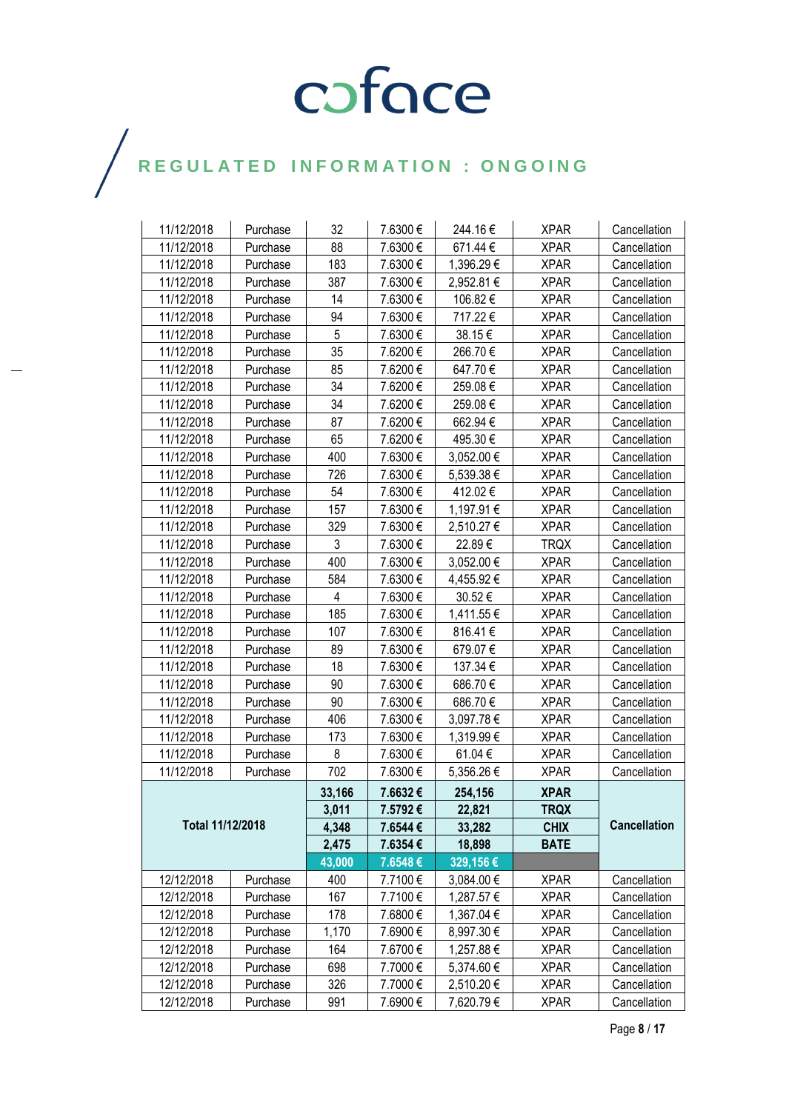| 11/12/2018       | Purchase | 32     | 7.6300€ | 244.16€    | <b>XPAR</b> | Cancellation        |
|------------------|----------|--------|---------|------------|-------------|---------------------|
| 11/12/2018       | Purchase | 88     | 7.6300€ | 671.44€    | <b>XPAR</b> | Cancellation        |
| 11/12/2018       | Purchase | 183    | 7.6300€ | 1,396.29 € | <b>XPAR</b> | Cancellation        |
| 11/12/2018       | Purchase | 387    | 7.6300€ | 2,952.81€  | <b>XPAR</b> | Cancellation        |
| 11/12/2018       | Purchase | 14     | 7.6300€ | 106.82€    | <b>XPAR</b> | Cancellation        |
| 11/12/2018       | Purchase | 94     | 7.6300€ | 717.22€    | <b>XPAR</b> | Cancellation        |
| 11/12/2018       | Purchase | 5      | 7.6300€ | 38.15€     | <b>XPAR</b> | Cancellation        |
| 11/12/2018       | Purchase | 35     | 7.6200€ | 266.70€    | <b>XPAR</b> | Cancellation        |
| 11/12/2018       | Purchase | 85     | 7.6200€ | 647.70€    | <b>XPAR</b> | Cancellation        |
| 11/12/2018       | Purchase | 34     | 7.6200€ | 259.08€    | <b>XPAR</b> | Cancellation        |
| 11/12/2018       | Purchase | 34     | 7.6200€ | 259.08€    | <b>XPAR</b> | Cancellation        |
| 11/12/2018       | Purchase | 87     | 7.6200€ | 662.94€    | <b>XPAR</b> | Cancellation        |
| 11/12/2018       | Purchase | 65     | 7.6200€ | 495.30€    | <b>XPAR</b> | Cancellation        |
| 11/12/2018       | Purchase | 400    | 7.6300€ | 3,052.00 € | <b>XPAR</b> | Cancellation        |
| 11/12/2018       | Purchase | 726    | 7.6300€ | 5.539.38€  | <b>XPAR</b> | Cancellation        |
| 11/12/2018       | Purchase | 54     | 7.6300€ | 412.02€    | <b>XPAR</b> | Cancellation        |
| 11/12/2018       | Purchase | 157    | 7.6300€ | 1,197.91 € | <b>XPAR</b> | Cancellation        |
| 11/12/2018       | Purchase | 329    | 7.6300€ | 2,510.27 € | <b>XPAR</b> | Cancellation        |
| 11/12/2018       | Purchase | 3      | 7.6300€ | 22.89€     | <b>TRQX</b> | Cancellation        |
| 11/12/2018       | Purchase | 400    | 7.6300€ | 3,052.00 € | <b>XPAR</b> | Cancellation        |
| 11/12/2018       | Purchase | 584    | 7.6300€ | 4,455.92€  | <b>XPAR</b> | Cancellation        |
| 11/12/2018       | Purchase | 4      | 7.6300€ | 30.52€     | <b>XPAR</b> | Cancellation        |
| 11/12/2018       | Purchase | 185    | 7.6300€ | 1,411.55 € | <b>XPAR</b> | Cancellation        |
| 11/12/2018       | Purchase | 107    | 7.6300€ | 816.41€    | <b>XPAR</b> | Cancellation        |
| 11/12/2018       | Purchase | 89     | 7.6300€ | 679.07€    | <b>XPAR</b> | Cancellation        |
| 11/12/2018       | Purchase | 18     | 7.6300€ | 137.34 €   | <b>XPAR</b> | Cancellation        |
| 11/12/2018       | Purchase | 90     | 7.6300€ | 686.70€    | <b>XPAR</b> | Cancellation        |
| 11/12/2018       | Purchase | 90     | 7.6300€ | 686.70€    | <b>XPAR</b> | Cancellation        |
| 11/12/2018       | Purchase | 406    | 7.6300€ | 3,097.78€  | <b>XPAR</b> | Cancellation        |
| 11/12/2018       | Purchase | 173    | 7.6300€ | 1,319.99€  | <b>XPAR</b> | Cancellation        |
| 11/12/2018       | Purchase | 8      | 7.6300€ | 61.04€     | <b>XPAR</b> | Cancellation        |
| 11/12/2018       | Purchase | 702    | 7.6300€ | 5,356.26€  | <b>XPAR</b> | Cancellation        |
|                  |          | 33,166 | 7.6632€ | 254,156    | <b>XPAR</b> |                     |
|                  |          | 3,011  | 7.5792€ | 22,821     | <b>TRQX</b> |                     |
| Total 11/12/2018 |          | 4,348  | 7.6544€ | 33,282     | <b>CHIX</b> | <b>Cancellation</b> |
|                  |          | 2,475  | 7.6354€ | 18,898     | <b>BATE</b> |                     |
|                  |          | 43,000 | 7.6548€ | 329,156€   |             |                     |
| 12/12/2018       | Purchase | 400    | 7.7100€ | 3,084.00 € | <b>XPAR</b> | Cancellation        |
| 12/12/2018       | Purchase | 167    | 7.7100€ | 1,287.57 € | <b>XPAR</b> | Cancellation        |
| 12/12/2018       | Purchase | 178    | 7.6800€ | 1,367.04 € | <b>XPAR</b> | Cancellation        |
| 12/12/2018       | Purchase | 1,170  | 7.6900€ | 8,997.30€  | <b>XPAR</b> | Cancellation        |
| 12/12/2018       | Purchase | 164    | 7.6700€ | 1,257.88 € | <b>XPAR</b> | Cancellation        |
| 12/12/2018       | Purchase | 698    | 7.7000€ | 5,374.60 € | <b>XPAR</b> | Cancellation        |
| 12/12/2018       | Purchase | 326    | 7.7000€ | 2,510.20€  | <b>XPAR</b> | Cancellation        |
| 12/12/2018       | Purchase | 991    | 7.6900€ | 7,620.79€  | <b>XPAR</b> | Cancellation        |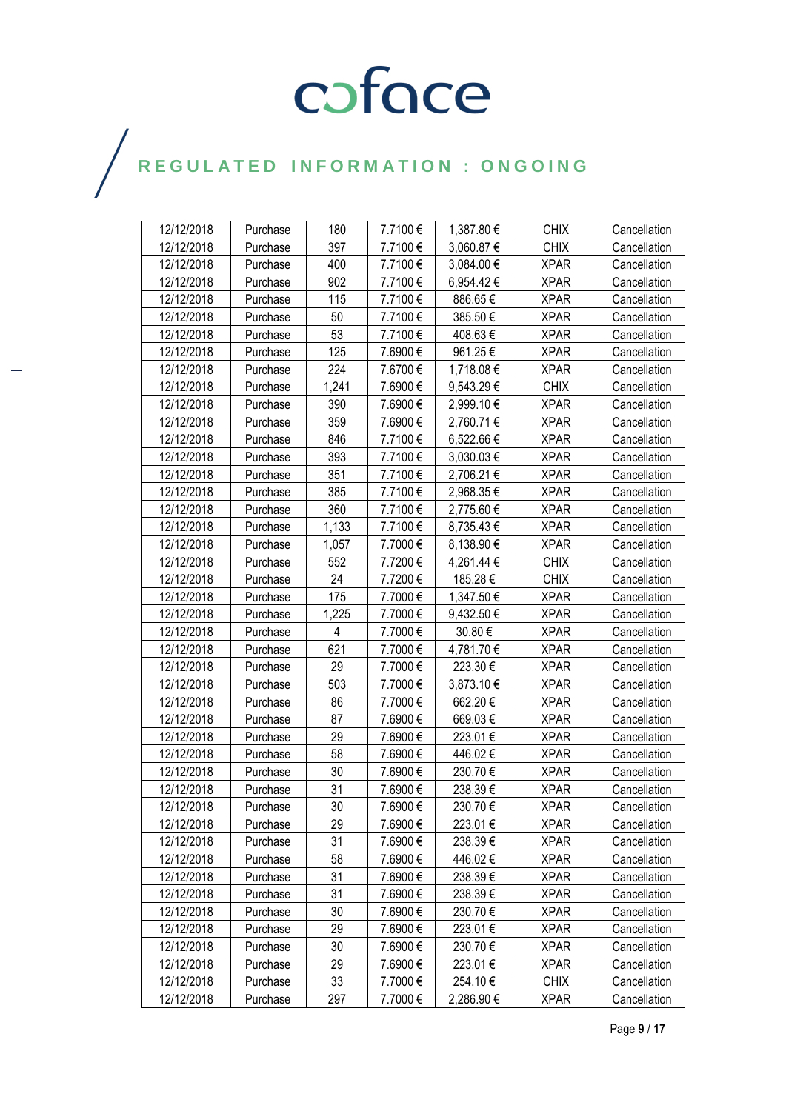| 12/12/2018 | Purchase | 180   | 7.7100€ | 1,387.80 € | <b>CHIX</b> | Cancellation |
|------------|----------|-------|---------|------------|-------------|--------------|
| 12/12/2018 | Purchase | 397   | 7.7100€ | 3,060.87 € | <b>CHIX</b> | Cancellation |
| 12/12/2018 | Purchase | 400   | 7.7100€ | 3,084.00 € | <b>XPAR</b> | Cancellation |
| 12/12/2018 | Purchase | 902   | 7.7100€ | 6,954.42€  | <b>XPAR</b> | Cancellation |
| 12/12/2018 | Purchase | 115   | 7.7100€ | 886.65€    | <b>XPAR</b> | Cancellation |
| 12/12/2018 | Purchase | 50    | 7.7100€ | 385.50€    | <b>XPAR</b> | Cancellation |
| 12/12/2018 | Purchase | 53    | 7.7100€ | 408.63€    | <b>XPAR</b> | Cancellation |
| 12/12/2018 | Purchase | 125   | 7.6900€ | 961.25€    | <b>XPAR</b> | Cancellation |
| 12/12/2018 | Purchase | 224   | 7.6700€ | 1,718.08 € | <b>XPAR</b> | Cancellation |
| 12/12/2018 | Purchase | 1,241 | 7.6900€ | 9,543.29€  | <b>CHIX</b> | Cancellation |
| 12/12/2018 | Purchase | 390   | 7.6900€ | 2,999.10 € | <b>XPAR</b> | Cancellation |
| 12/12/2018 | Purchase | 359   | 7.6900€ | 2,760.71€  | <b>XPAR</b> | Cancellation |
| 12/12/2018 | Purchase | 846   | 7.7100€ | 6,522.66 € | <b>XPAR</b> | Cancellation |
| 12/12/2018 | Purchase | 393   | 7.7100€ | 3,030.03€  | <b>XPAR</b> | Cancellation |
| 12/12/2018 | Purchase | 351   | 7.7100€ | 2,706.21 € | <b>XPAR</b> | Cancellation |
| 12/12/2018 | Purchase | 385   | 7.7100€ | 2,968.35€  | <b>XPAR</b> | Cancellation |
| 12/12/2018 | Purchase | 360   | 7.7100€ | 2,775.60 € | <b>XPAR</b> | Cancellation |
| 12/12/2018 | Purchase | 1,133 | 7.7100€ | 8,735.43€  | <b>XPAR</b> | Cancellation |
| 12/12/2018 | Purchase | 1,057 | 7.7000€ | 8,138.90 € | <b>XPAR</b> | Cancellation |
| 12/12/2018 | Purchase | 552   | 7.7200€ | 4,261.44 € | <b>CHIX</b> | Cancellation |
| 12/12/2018 | Purchase | 24    | 7.7200€ | 185.28€    | <b>CHIX</b> | Cancellation |
| 12/12/2018 | Purchase | 175   | 7.7000€ | 1,347.50 € | <b>XPAR</b> | Cancellation |
| 12/12/2018 | Purchase | 1,225 | 7.7000€ | 9,432.50 € | <b>XPAR</b> | Cancellation |
| 12/12/2018 | Purchase | 4     | 7.7000€ | 30.80 €    | <b>XPAR</b> | Cancellation |
| 12/12/2018 | Purchase | 621   | 7.7000€ | 4,781.70 € | <b>XPAR</b> | Cancellation |
| 12/12/2018 | Purchase | 29    | 7.7000€ | 223.30€    | <b>XPAR</b> | Cancellation |
| 12/12/2018 | Purchase | 503   | 7.7000€ | 3,873.10 € | <b>XPAR</b> | Cancellation |
| 12/12/2018 | Purchase | 86    | 7.7000€ | 662.20€    | <b>XPAR</b> | Cancellation |
| 12/12/2018 | Purchase | 87    | 7.6900€ | 669.03€    | <b>XPAR</b> | Cancellation |
| 12/12/2018 | Purchase | 29    | 7.6900€ | 223.01€    | <b>XPAR</b> | Cancellation |
| 12/12/2018 | Purchase | 58    | 7.6900€ | 446.02€    | <b>XPAR</b> | Cancellation |
| 12/12/2018 | Purchase | 30    | 7.6900€ | 230.70€    | <b>XPAR</b> | Cancellation |
| 12/12/2018 | Purchase | 31    | 7.6900€ | 238.39€    | <b>XPAR</b> | Cancellation |
| 12/12/2018 | Purchase | 30    | 7.6900€ | 230.70€    | <b>XPAR</b> | Cancellation |
| 12/12/2018 | Purchase | 29    | 7.6900€ | 223.01 €   | <b>XPAR</b> | Cancellation |
| 12/12/2018 | Purchase | 31    | 7.6900€ | 238.39€    | <b>XPAR</b> | Cancellation |
| 12/12/2018 | Purchase | 58    | 7.6900€ | 446.02€    | <b>XPAR</b> | Cancellation |
| 12/12/2018 | Purchase | 31    | 7.6900€ | 238.39€    | <b>XPAR</b> | Cancellation |
| 12/12/2018 | Purchase | 31    | 7.6900€ | 238.39€    | <b>XPAR</b> | Cancellation |
| 12/12/2018 | Purchase | 30    | 7.6900€ | 230.70€    | <b>XPAR</b> | Cancellation |
| 12/12/2018 | Purchase | 29    | 7.6900€ | 223.01 €   | <b>XPAR</b> | Cancellation |
| 12/12/2018 | Purchase | 30    | 7.6900€ | 230.70€    | <b>XPAR</b> | Cancellation |
| 12/12/2018 | Purchase | 29    | 7.6900€ | 223.01 €   | <b>XPAR</b> | Cancellation |
| 12/12/2018 | Purchase | 33    | 7.7000€ | 254.10€    | <b>CHIX</b> | Cancellation |
| 12/12/2018 | Purchase | 297   | 7.7000€ | 2,286.90€  | <b>XPAR</b> | Cancellation |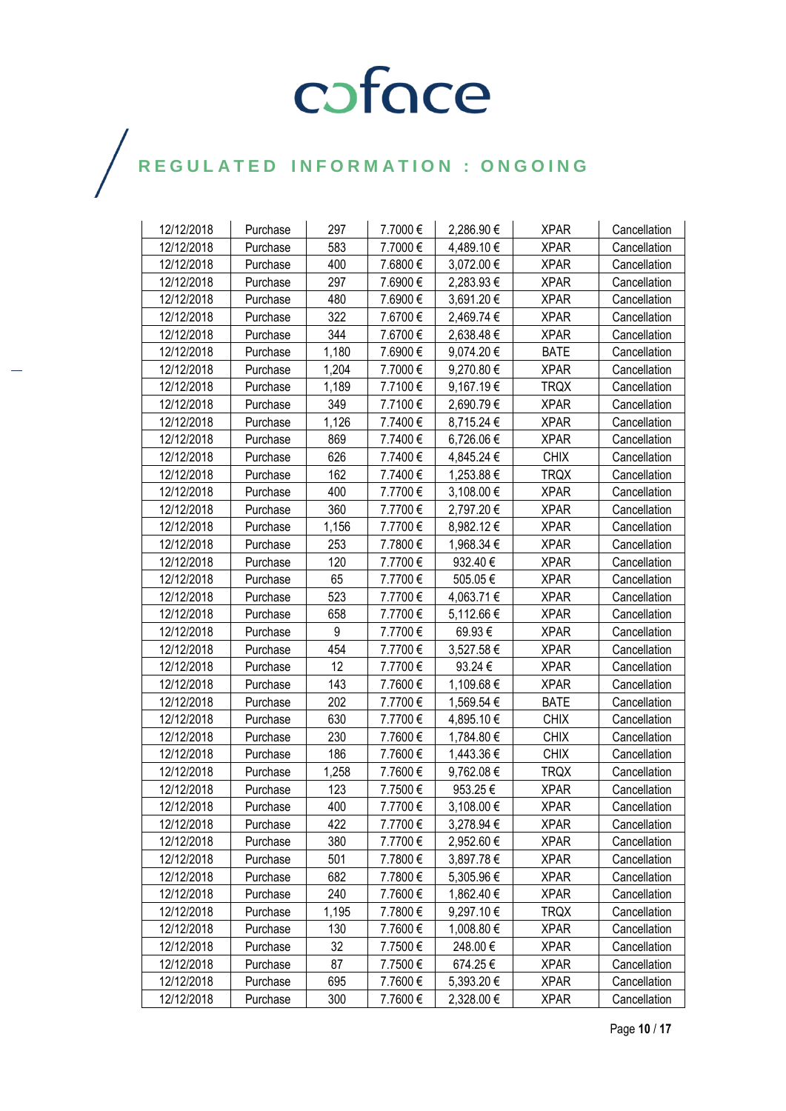| 12/12/2018 | Purchase | 297   | 7.7000€ | 2,286.90€  | <b>XPAR</b> | Cancellation |
|------------|----------|-------|---------|------------|-------------|--------------|
| 12/12/2018 | Purchase | 583   | 7.7000€ | 4,489.10€  | <b>XPAR</b> | Cancellation |
| 12/12/2018 | Purchase | 400   | 7.6800€ | 3,072.00 € | <b>XPAR</b> | Cancellation |
| 12/12/2018 | Purchase | 297   | 7.6900€ | 2,283.93€  | <b>XPAR</b> | Cancellation |
| 12/12/2018 | Purchase | 480   | 7.6900€ | 3,691.20€  | <b>XPAR</b> | Cancellation |
| 12/12/2018 | Purchase | 322   | 7.6700€ | 2,469.74 € | <b>XPAR</b> | Cancellation |
| 12/12/2018 | Purchase | 344   | 7.6700€ | 2,638.48€  | <b>XPAR</b> | Cancellation |
| 12/12/2018 | Purchase | 1,180 | 7.6900€ | 9,074.20€  | <b>BATE</b> | Cancellation |
| 12/12/2018 | Purchase | 1,204 | 7.7000€ | 9,270.80 € | <b>XPAR</b> | Cancellation |
| 12/12/2018 | Purchase | 1,189 | 7.7100€ | 9,167.19€  | <b>TRQX</b> | Cancellation |
| 12/12/2018 | Purchase | 349   | 7.7100€ | 2,690.79€  | <b>XPAR</b> | Cancellation |
| 12/12/2018 | Purchase | 1,126 | 7.7400€ | 8,715.24 € | <b>XPAR</b> | Cancellation |
| 12/12/2018 | Purchase | 869   | 7.7400€ | 6,726.06€  | <b>XPAR</b> | Cancellation |
| 12/12/2018 | Purchase | 626   | 7.7400€ | 4,845.24 € | <b>CHIX</b> | Cancellation |
| 12/12/2018 | Purchase | 162   | 7.7400€ | 1,253.88 € | <b>TRQX</b> | Cancellation |
| 12/12/2018 | Purchase | 400   | 7.7700€ | 3,108.00 € | <b>XPAR</b> | Cancellation |
| 12/12/2018 | Purchase | 360   | 7.7700€ | 2,797.20€  | <b>XPAR</b> | Cancellation |
| 12/12/2018 | Purchase | 1,156 | 7.7700€ | 8,982.12€  | <b>XPAR</b> | Cancellation |
| 12/12/2018 | Purchase | 253   | 7.7800€ | 1,968.34 € | <b>XPAR</b> | Cancellation |
| 12/12/2018 | Purchase | 120   | 7.7700€ | 932.40€    | <b>XPAR</b> | Cancellation |
| 12/12/2018 | Purchase | 65    | 7.7700€ | 505.05€    | <b>XPAR</b> | Cancellation |
| 12/12/2018 | Purchase | 523   | 7.7700€ | 4,063.71 € | <b>XPAR</b> | Cancellation |
| 12/12/2018 | Purchase | 658   | 7.7700€ | 5,112.66 € | <b>XPAR</b> | Cancellation |
| 12/12/2018 | Purchase | 9     | 7.7700€ | 69.93€     | <b>XPAR</b> | Cancellation |
| 12/12/2018 | Purchase | 454   | 7.7700€ | 3,527.58€  | <b>XPAR</b> | Cancellation |
| 12/12/2018 | Purchase | 12    | 7.7700€ | 93.24 €    | <b>XPAR</b> | Cancellation |
| 12/12/2018 | Purchase | 143   | 7.7600€ | 1,109.68€  | <b>XPAR</b> | Cancellation |
| 12/12/2018 | Purchase | 202   | 7.7700€ | 1,569.54 € | <b>BATE</b> | Cancellation |
| 12/12/2018 | Purchase | 630   | 7.7700€ | 4,895.10€  | <b>CHIX</b> | Cancellation |
| 12/12/2018 | Purchase | 230   | 7.7600€ | 1,784.80 € | <b>CHIX</b> | Cancellation |
| 12/12/2018 | Purchase | 186   | 7.7600€ | 1,443.36 € | <b>CHIX</b> | Cancellation |
| 12/12/2018 | Purchase | 1,258 | 7.7600€ | 9,762.08€  | <b>TRQX</b> | Cancellation |
| 12/12/2018 | Purchase | 123   | 7.7500€ | 953.25€    | <b>XPAR</b> | Cancellation |
| 12/12/2018 | Purchase | 400   | 7.7700€ | 3,108.00 € | <b>XPAR</b> | Cancellation |
| 12/12/2018 | Purchase | 422   | 7.7700€ | 3,278.94 € | <b>XPAR</b> | Cancellation |
| 12/12/2018 | Purchase | 380   | 7.7700€ | 2,952.60 € | <b>XPAR</b> | Cancellation |
| 12/12/2018 | Purchase | 501   | 7.7800€ | 3,897.78€  | <b>XPAR</b> | Cancellation |
| 12/12/2018 | Purchase | 682   | 7.7800€ | 5,305.96 € | <b>XPAR</b> | Cancellation |
| 12/12/2018 | Purchase | 240   | 7.7600€ | 1,862.40€  | <b>XPAR</b> | Cancellation |
| 12/12/2018 | Purchase | 1,195 | 7.7800€ | 9,297.10€  | <b>TRQX</b> | Cancellation |
| 12/12/2018 | Purchase | 130   | 7.7600€ | 1,008.80 € | <b>XPAR</b> | Cancellation |
| 12/12/2018 | Purchase | 32    | 7.7500€ | 248.00€    | <b>XPAR</b> | Cancellation |
| 12/12/2018 | Purchase | 87    | 7.7500€ | 674.25€    | <b>XPAR</b> | Cancellation |
| 12/12/2018 | Purchase | 695   | 7.7600€ | 5,393.20€  | <b>XPAR</b> | Cancellation |
| 12/12/2018 | Purchase | 300   | 7.7600€ | 2,328.00 € | <b>XPAR</b> | Cancellation |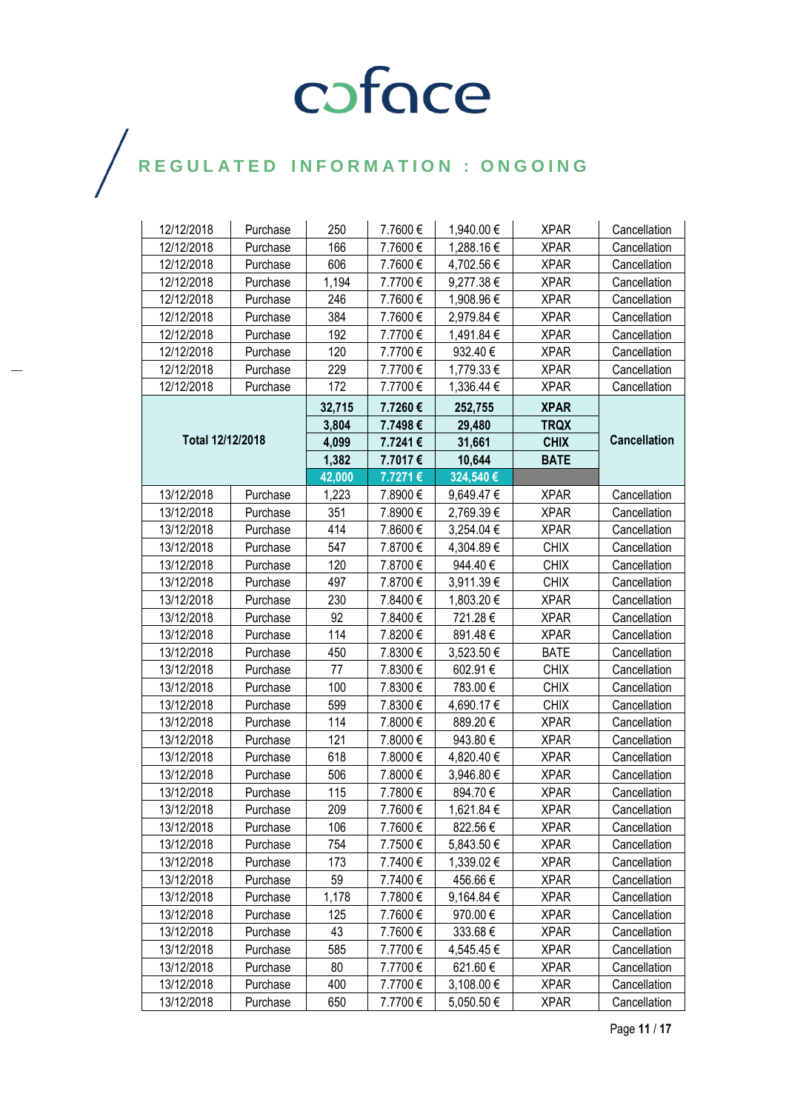| 12/12/2018       | Purchase | 250    | 7.7600€ | 1,940.00 € | <b>XPAR</b> | Cancellation        |
|------------------|----------|--------|---------|------------|-------------|---------------------|
| 12/12/2018       | Purchase | 166    | 7.7600€ | 1,288.16€  | <b>XPAR</b> | Cancellation        |
| 12/12/2018       | Purchase | 606    | 7.7600€ | 4,702.56 € | <b>XPAR</b> | Cancellation        |
| 12/12/2018       | Purchase | 1,194  | 7.7700€ | 9,277.38€  | <b>XPAR</b> | Cancellation        |
| 12/12/2018       | Purchase | 246    | 7.7600€ | 1,908.96 € | <b>XPAR</b> | Cancellation        |
| 12/12/2018       | Purchase | 384    | 7.7600€ | 2,979.84 € | <b>XPAR</b> | Cancellation        |
| 12/12/2018       | Purchase | 192    | 7.7700€ | 1,491.84 € | <b>XPAR</b> | Cancellation        |
| 12/12/2018       | Purchase | 120    | 7.7700€ | 932.40€    | <b>XPAR</b> | Cancellation        |
| 12/12/2018       | Purchase | 229    | 7.7700€ | 1,779.33 € | <b>XPAR</b> | Cancellation        |
| 12/12/2018       | Purchase | 172    | 7.7700€ | 1,336.44 € | <b>XPAR</b> | Cancellation        |
|                  |          | 32,715 | 7.7260€ | 252,755    | <b>XPAR</b> |                     |
|                  |          | 3,804  | 7.7498€ | 29,480     | <b>TRQX</b> |                     |
| Total 12/12/2018 |          | 4,099  | 7.7241€ | 31,661     | <b>CHIX</b> | <b>Cancellation</b> |
|                  |          | 1,382  | 7.7017€ | 10,644     | <b>BATE</b> |                     |
|                  |          | 42,000 | 7.7271€ | 324,540€   |             |                     |
| 13/12/2018       | Purchase | 1,223  | 7.8900€ | 9,649.47€  | <b>XPAR</b> | Cancellation        |
| 13/12/2018       | Purchase | 351    | 7.8900€ | 2,769.39€  | <b>XPAR</b> | Cancellation        |
| 13/12/2018       | Purchase | 414    | 7.8600€ | 3,254.04 € | <b>XPAR</b> | Cancellation        |
| 13/12/2018       | Purchase | 547    | 7.8700€ | 4,304.89 € | <b>CHIX</b> | Cancellation        |
| 13/12/2018       | Purchase | 120    | 7.8700€ | 944.40€    | <b>CHIX</b> | Cancellation        |
| 13/12/2018       | Purchase | 497    | 7.8700€ | 3,911.39€  | <b>CHIX</b> | Cancellation        |
| 13/12/2018       | Purchase | 230    | 7.8400€ | 1,803.20 € | <b>XPAR</b> | Cancellation        |
| 13/12/2018       | Purchase | 92     | 7.8400€ | 721.28€    | <b>XPAR</b> | Cancellation        |
| 13/12/2018       | Purchase | 114    | 7.8200€ | 891.48€    | <b>XPAR</b> | Cancellation        |
| 13/12/2018       | Purchase | 450    | 7.8300€ | 3,523.50 € | <b>BATE</b> | Cancellation        |
| 13/12/2018       | Purchase | 77     | 7.8300€ | 602.91€    | <b>CHIX</b> | Cancellation        |
| 13/12/2018       | Purchase | 100    | 7.8300€ | 783.00€    | <b>CHIX</b> | Cancellation        |
| 13/12/2018       | Purchase | 599    | 7.8300€ | 4,690.17 € | <b>CHIX</b> | Cancellation        |
| 13/12/2018       | Purchase | 114    | 7.8000€ | 889.20€    | <b>XPAR</b> | Cancellation        |
| 13/12/2018       | Purchase | 121    | 7.8000€ | 943.80€    | <b>XPAR</b> | Cancellation        |
| 13/12/2018       | Purchase | 618    | 7.8000€ | 4,820.40 € | <b>XPAR</b> | Cancellation        |
| 13/12/2018       | Purchase | 506    | 7.8000€ | 3,946.80 € | <b>XPAR</b> | Cancellation        |
| 13/12/2018       | Purchase | 115    | 7.7800€ | 894.70€    | <b>XPAR</b> | Cancellation        |
| 13/12/2018       | Purchase | 209    | 7.7600€ | 1,621.84 € | <b>XPAR</b> | Cancellation        |
| 13/12/2018       | Purchase | 106    | 7.7600€ | 822.56€    | <b>XPAR</b> | Cancellation        |
| 13/12/2018       | Purchase | 754    | 7.7500€ | 5,843.50 € | <b>XPAR</b> | Cancellation        |
| 13/12/2018       | Purchase | 173    | 7.7400€ | 1,339.02€  | <b>XPAR</b> | Cancellation        |
| 13/12/2018       | Purchase | 59     | 7.7400€ | 456.66€    | <b>XPAR</b> | Cancellation        |
| 13/12/2018       | Purchase | 1,178  | 7.7800€ | 9,164.84 € | <b>XPAR</b> | Cancellation        |
| 13/12/2018       | Purchase | 125    | 7.7600€ | 970.00€    | <b>XPAR</b> | Cancellation        |
| 13/12/2018       | Purchase | 43     | 7.7600€ | 333.68€    | <b>XPAR</b> | Cancellation        |
| 13/12/2018       | Purchase | 585    | 7.7700€ | 4,545.45 € | <b>XPAR</b> | Cancellation        |
| 13/12/2018       | Purchase | 80     | 7.7700€ | 621.60€    | <b>XPAR</b> | Cancellation        |
| 13/12/2018       | Purchase | 400    | 7.7700€ | 3,108.00 € | <b>XPAR</b> | Cancellation        |
| 13/12/2018       | Purchase | 650    | 7.7700€ | 5,050.50 € | <b>XPAR</b> | Cancellation        |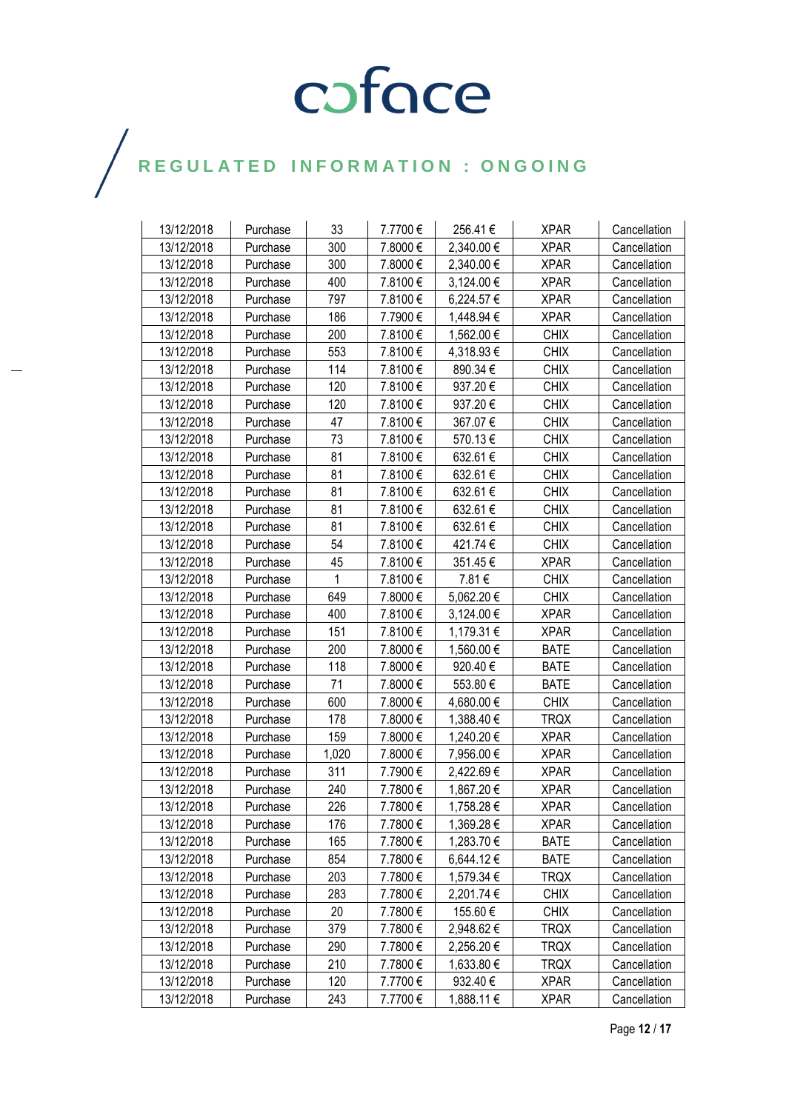| 13/12/2018 | Purchase | 33    | 7.7700€ | 256.41€    | <b>XPAR</b> | Cancellation |
|------------|----------|-------|---------|------------|-------------|--------------|
| 13/12/2018 | Purchase | 300   | 7.8000€ | 2,340.00 € | <b>XPAR</b> | Cancellation |
| 13/12/2018 | Purchase | 300   | 7.8000€ | 2,340.00 € | <b>XPAR</b> | Cancellation |
| 13/12/2018 | Purchase | 400   | 7.8100€ | 3,124.00 € | <b>XPAR</b> | Cancellation |
| 13/12/2018 | Purchase | 797   | 7.8100€ | 6,224.57€  | <b>XPAR</b> | Cancellation |
| 13/12/2018 | Purchase | 186   | 7.7900€ | 1,448.94 € | <b>XPAR</b> | Cancellation |
| 13/12/2018 | Purchase | 200   | 7.8100€ | 1,562.00 € | <b>CHIX</b> | Cancellation |
| 13/12/2018 | Purchase | 553   | 7.8100€ | 4,318.93€  | <b>CHIX</b> | Cancellation |
| 13/12/2018 | Purchase | 114   | 7.8100€ | 890.34€    | <b>CHIX</b> | Cancellation |
| 13/12/2018 | Purchase | 120   | 7.8100€ | 937.20€    | <b>CHIX</b> | Cancellation |
| 13/12/2018 | Purchase | 120   | 7.8100€ | 937.20€    | <b>CHIX</b> | Cancellation |
| 13/12/2018 | Purchase | 47    | 7.8100€ | 367.07€    | <b>CHIX</b> | Cancellation |
| 13/12/2018 | Purchase | 73    | 7.8100€ | 570.13€    | <b>CHIX</b> | Cancellation |
| 13/12/2018 | Purchase | 81    | 7.8100€ | 632.61€    | <b>CHIX</b> | Cancellation |
| 13/12/2018 | Purchase | 81    | 7.8100€ | 632.61€    | <b>CHIX</b> | Cancellation |
| 13/12/2018 | Purchase | 81    | 7.8100€ | 632.61€    | <b>CHIX</b> | Cancellation |
| 13/12/2018 | Purchase | 81    | 7.8100€ | 632.61€    | <b>CHIX</b> | Cancellation |
| 13/12/2018 | Purchase | 81    | 7.8100€ | 632.61€    | <b>CHIX</b> | Cancellation |
| 13/12/2018 | Purchase | 54    | 7.8100€ | 421.74€    | <b>CHIX</b> | Cancellation |
| 13/12/2018 | Purchase | 45    | 7.8100€ | 351.45€    | <b>XPAR</b> | Cancellation |
| 13/12/2018 | Purchase | 1     | 7.8100€ | 7.81€      | <b>CHIX</b> | Cancellation |
| 13/12/2018 | Purchase | 649   | 7.8000€ | 5,062.20€  | <b>CHIX</b> | Cancellation |
| 13/12/2018 | Purchase | 400   | 7.8100€ | 3,124.00 € | <b>XPAR</b> | Cancellation |
| 13/12/2018 | Purchase | 151   | 7.8100€ | 1,179.31 € | <b>XPAR</b> | Cancellation |
| 13/12/2018 | Purchase | 200   | 7.8000€ | 1,560.00 € | <b>BATE</b> | Cancellation |
| 13/12/2018 | Purchase | 118   | 7.8000€ | 920.40€    | <b>BATE</b> | Cancellation |
| 13/12/2018 | Purchase | 71    | 7.8000€ | 553.80€    | <b>BATE</b> | Cancellation |
| 13/12/2018 | Purchase | 600   | 7.8000€ | 4,680.00 € | <b>CHIX</b> | Cancellation |
| 13/12/2018 | Purchase | 178   | 7.8000€ | 1,388.40 € | <b>TRQX</b> | Cancellation |
| 13/12/2018 | Purchase | 159   | 7.8000€ | 1,240.20 € | <b>XPAR</b> | Cancellation |
| 13/12/2018 | Purchase | 1,020 | 7.8000€ | 7,956.00 € | <b>XPAR</b> | Cancellation |
| 13/12/2018 | Purchase | 311   | 7.7900€ | 2,422.69€  | <b>XPAR</b> | Cancellation |
| 13/12/2018 | Purchase | 240   | 7.7800€ | 1,867.20 € | <b>XPAR</b> | Cancellation |
| 13/12/2018 | Purchase | 226   | 7.7800€ | 1,758.28€  | <b>XPAR</b> | Cancellation |
| 13/12/2018 | Purchase | 176   | 7.7800€ | 1,369.28 € | <b>XPAR</b> | Cancellation |
| 13/12/2018 | Purchase | 165   | 7.7800€ | 1,283.70 € | <b>BATE</b> | Cancellation |
| 13/12/2018 | Purchase | 854   | 7.7800€ | 6,644.12€  | <b>BATE</b> | Cancellation |
| 13/12/2018 | Purchase | 203   | 7.7800€ | 1,579.34 € | <b>TRQX</b> | Cancellation |
| 13/12/2018 | Purchase | 283   | 7.7800€ | 2,201.74 € | <b>CHIX</b> | Cancellation |
| 13/12/2018 | Purchase | 20    | 7.7800€ | 155.60€    | <b>CHIX</b> | Cancellation |
| 13/12/2018 | Purchase | 379   | 7.7800€ | 2,948.62€  | <b>TRQX</b> | Cancellation |
| 13/12/2018 | Purchase | 290   | 7.7800€ | 2,256.20€  | <b>TRQX</b> | Cancellation |
| 13/12/2018 | Purchase | 210   | 7.7800€ | 1,633.80 € | <b>TRQX</b> | Cancellation |
| 13/12/2018 | Purchase | 120   | 7.7700€ | 932.40€    | <b>XPAR</b> | Cancellation |
| 13/12/2018 | Purchase | 243   | 7.7700€ | 1,888.11 € | <b>XPAR</b> | Cancellation |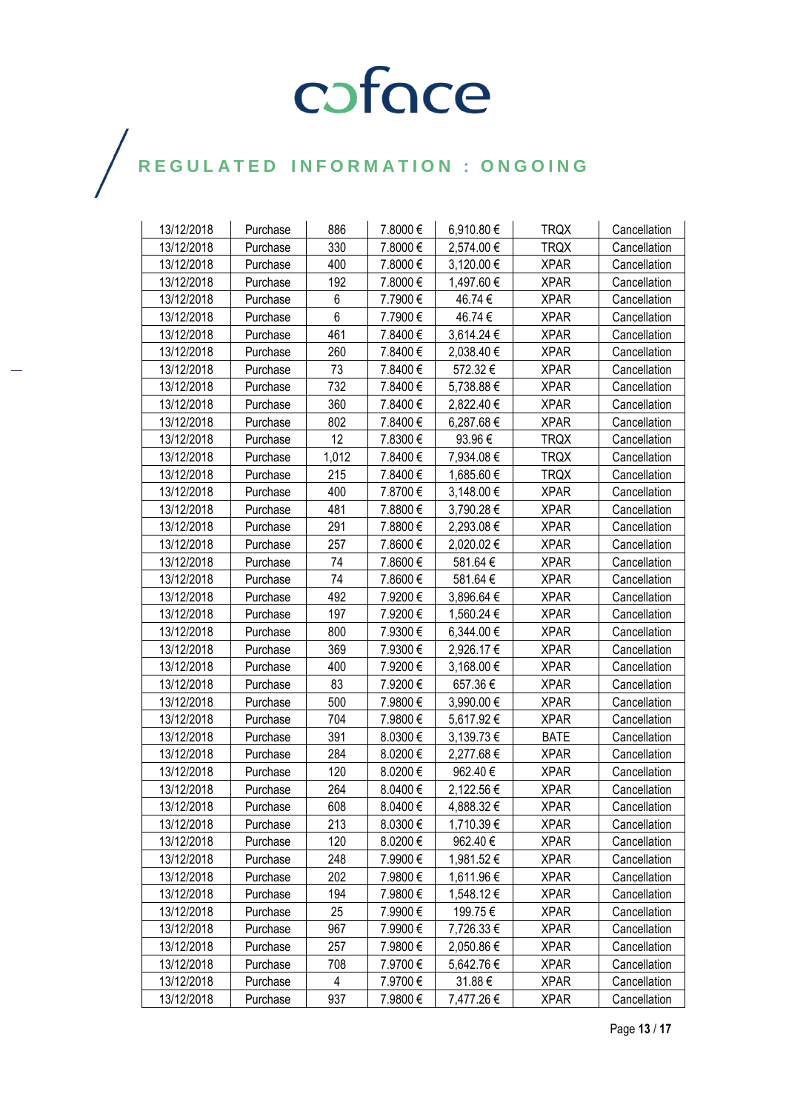| 13/12/2018 | Purchase | 886   | 7.8000€  | 6,910.80€  | <b>TRQX</b> | Cancellation |
|------------|----------|-------|----------|------------|-------------|--------------|
| 13/12/2018 | Purchase | 330   | 7.8000€  | 2,574.00 € | <b>TRQX</b> | Cancellation |
| 13/12/2018 | Purchase | 400   | 7.8000€  | 3,120.00 € | <b>XPAR</b> | Cancellation |
| 13/12/2018 | Purchase | 192   | 7.8000€  | 1,497.60 € | <b>XPAR</b> | Cancellation |
| 13/12/2018 | Purchase | 6     | 7.7900€  | 46.74€     | <b>XPAR</b> | Cancellation |
| 13/12/2018 | Purchase | 6     | 7.7900€  | 46.74€     | <b>XPAR</b> | Cancellation |
| 13/12/2018 | Purchase | 461   | 7.8400€  | 3,614.24 € | <b>XPAR</b> | Cancellation |
| 13/12/2018 | Purchase | 260   | 7.8400€  | 2,038.40 € | <b>XPAR</b> | Cancellation |
| 13/12/2018 | Purchase | 73    | 7.8400€  | 572.32€    | <b>XPAR</b> | Cancellation |
| 13/12/2018 | Purchase | 732   | 7.8400€  | 5,738.88€  | <b>XPAR</b> | Cancellation |
| 13/12/2018 | Purchase | 360   | 7.8400€  | 2,822.40 € | <b>XPAR</b> | Cancellation |
| 13/12/2018 | Purchase | 802   | 7.8400€  | 6,287.68€  | <b>XPAR</b> | Cancellation |
| 13/12/2018 | Purchase | 12    | 7.8300€  | 93.96€     | <b>TRQX</b> | Cancellation |
| 13/12/2018 | Purchase | 1,012 | 7.8400 € | 7,934.08 € | <b>TRQX</b> | Cancellation |
| 13/12/2018 | Purchase | 215   | 7.8400€  | 1,685.60 € | <b>TRQX</b> | Cancellation |
| 13/12/2018 | Purchase | 400   | 7.8700€  | 3,148.00 € | <b>XPAR</b> | Cancellation |
| 13/12/2018 | Purchase | 481   | 7.8800€  | 3,790.28€  | <b>XPAR</b> | Cancellation |
| 13/12/2018 | Purchase | 291   | 7.8800€  | 2,293.08€  | <b>XPAR</b> | Cancellation |
| 13/12/2018 | Purchase | 257   | 7.8600€  | 2,020.02€  | <b>XPAR</b> | Cancellation |
| 13/12/2018 | Purchase | 74    | 7.8600€  | 581.64€    | <b>XPAR</b> | Cancellation |
| 13/12/2018 | Purchase | 74    | 7.8600€  | 581.64€    | <b>XPAR</b> | Cancellation |
| 13/12/2018 | Purchase | 492   | 7.9200€  | 3,896.64 € | <b>XPAR</b> | Cancellation |
| 13/12/2018 | Purchase | 197   | 7.9200€  | 1,560.24 € | <b>XPAR</b> | Cancellation |
| 13/12/2018 | Purchase | 800   | 7.9300€  | 6,344.00 € | <b>XPAR</b> | Cancellation |
| 13/12/2018 | Purchase | 369   | 7.9300€  | 2,926.17€  | <b>XPAR</b> | Cancellation |
| 13/12/2018 | Purchase | 400   | 7.9200€  | 3,168.00 € | <b>XPAR</b> | Cancellation |
| 13/12/2018 | Purchase | 83    | 7.9200€  | 657.36€    | <b>XPAR</b> | Cancellation |
| 13/12/2018 | Purchase | 500   | 7.9800€  | 3,990.00 € | <b>XPAR</b> | Cancellation |
| 13/12/2018 | Purchase | 704   | 7.9800€  | 5,617.92 € | <b>XPAR</b> | Cancellation |
| 13/12/2018 | Purchase | 391   | 8.0300€  | 3,139.73€  | <b>BATE</b> | Cancellation |
| 13/12/2018 | Purchase | 284   | 8.0200€  | 2,277.68 € | <b>XPAR</b> | Cancellation |
| 13/12/2018 | Purchase | 120   | 8.0200€  | 962.40€    | <b>XPAR</b> | Cancellation |
| 13/12/2018 | Purchase | 264   | 8.0400€  | 2,122.56 € | <b>XPAR</b> | Cancellation |
| 13/12/2018 | Purchase | 608   | 8.0400€  | 4,888.32€  | <b>XPAR</b> | Cancellation |
| 13/12/2018 | Purchase | 213   | 8.0300€  | 1,710.39€  | <b>XPAR</b> | Cancellation |
| 13/12/2018 | Purchase | 120   | 8.0200€  | 962.40€    | <b>XPAR</b> | Cancellation |
| 13/12/2018 | Purchase | 248   | 7.9900€  | 1,981.52€  | <b>XPAR</b> | Cancellation |
| 13/12/2018 | Purchase | 202   | 7.9800€  | 1,611.96 € | <b>XPAR</b> | Cancellation |
| 13/12/2018 | Purchase | 194   | 7.9800€  | 1,548.12€  | <b>XPAR</b> | Cancellation |
| 13/12/2018 | Purchase | 25    | 7.9900€  | 199.75€    | <b>XPAR</b> | Cancellation |
| 13/12/2018 | Purchase | 967   | 7.9900€  | 7,726.33 € | <b>XPAR</b> | Cancellation |
| 13/12/2018 | Purchase | 257   | 7.9800€  | 2,050.86 € | <b>XPAR</b> | Cancellation |
| 13/12/2018 | Purchase | 708   | 7.9700€  | 5,642.76 € | <b>XPAR</b> | Cancellation |
| 13/12/2018 | Purchase | 4     | 7.9700 € | 31.88€     | <b>XPAR</b> | Cancellation |
| 13/12/2018 | Purchase | 937   | 7.9800€  | 7,477.26 € | <b>XPAR</b> | Cancellation |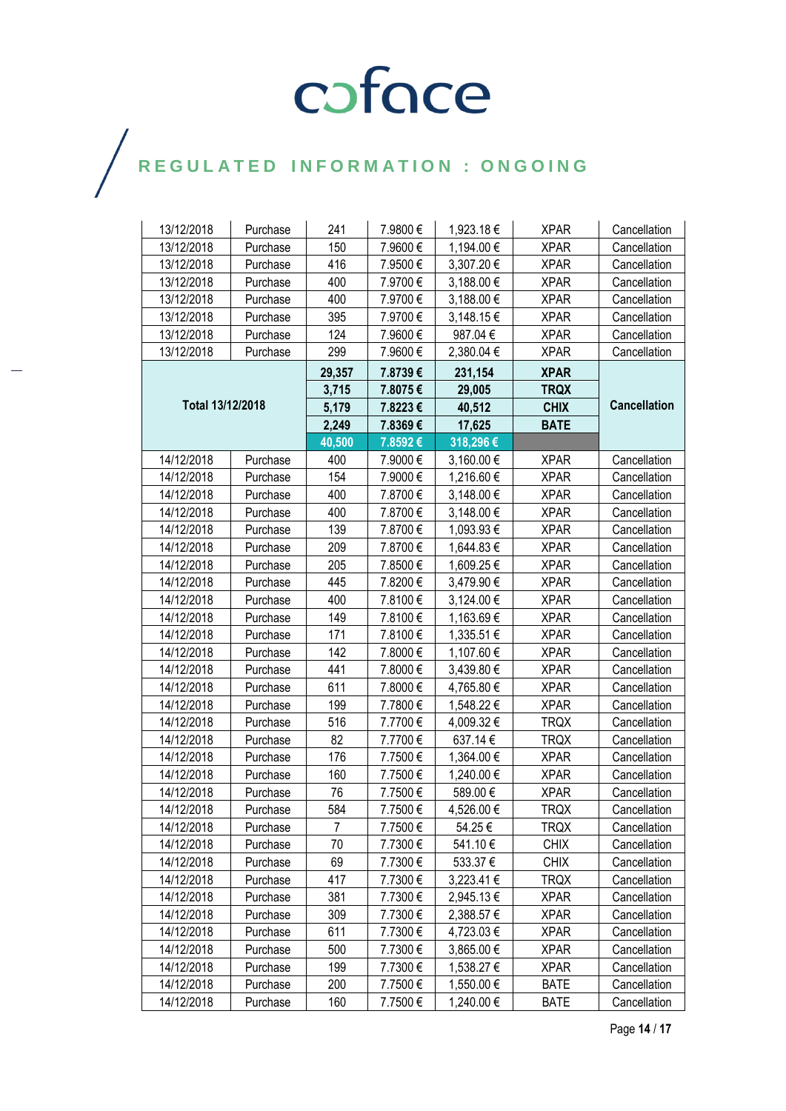| 13/12/2018       | Purchase | 241    | 7.9800€ | 1,923.18€  | <b>XPAR</b> | Cancellation        |
|------------------|----------|--------|---------|------------|-------------|---------------------|
| 13/12/2018       | Purchase | 150    | 7.9600€ | 1,194.00 € | <b>XPAR</b> | Cancellation        |
| 13/12/2018       | Purchase | 416    | 7.9500€ | 3,307.20€  | <b>XPAR</b> | Cancellation        |
| 13/12/2018       | Purchase | 400    | 7.9700€ | 3,188.00 € | <b>XPAR</b> | Cancellation        |
| 13/12/2018       | Purchase | 400    | 7.9700€ | 3,188.00 € | <b>XPAR</b> | Cancellation        |
| 13/12/2018       | Purchase | 395    | 7.9700€ | 3,148.15 € | <b>XPAR</b> | Cancellation        |
| 13/12/2018       | Purchase | 124    | 7.9600€ | 987.04€    | <b>XPAR</b> | Cancellation        |
| 13/12/2018       | Purchase | 299    | 7.9600€ | 2,380.04 € | <b>XPAR</b> | Cancellation        |
|                  |          | 29,357 | 7.8739€ | 231,154    | <b>XPAR</b> |                     |
|                  |          |        | 7.8075€ | 29,005     | <b>TRQX</b> |                     |
| Total 13/12/2018 |          | 5,179  | 7.8223€ | 40,512     | <b>CHIX</b> | <b>Cancellation</b> |
|                  |          | 2,249  | 7.8369€ | 17,625     | <b>BATE</b> |                     |
|                  |          | 40,500 | 7.8592€ | 318,296€   |             |                     |
| 14/12/2018       | Purchase | 400    | 7.9000€ | 3,160.00 € | <b>XPAR</b> | Cancellation        |
| 14/12/2018       | Purchase | 154    | 7.9000€ | 1,216.60€  | <b>XPAR</b> | Cancellation        |
| 14/12/2018       | Purchase | 400    | 7.8700€ | 3,148.00 € | <b>XPAR</b> | Cancellation        |
| 14/12/2018       | Purchase | 400    | 7.8700€ | 3,148.00 € | <b>XPAR</b> | Cancellation        |
| 14/12/2018       | Purchase | 139    | 7.8700€ | 1,093.93€  | <b>XPAR</b> | Cancellation        |
| 14/12/2018       | Purchase | 209    | 7.8700€ | 1,644.83 € | <b>XPAR</b> | Cancellation        |
| 14/12/2018       | Purchase | 205    | 7.8500€ | 1,609.25€  | <b>XPAR</b> | Cancellation        |
| 14/12/2018       | Purchase | 445    | 7.8200€ | 3,479.90 € | <b>XPAR</b> | Cancellation        |
| 14/12/2018       | Purchase | 400    | 7.8100€ | 3,124.00 € | <b>XPAR</b> | Cancellation        |
| 14/12/2018       | Purchase | 149    | 7.8100€ | 1,163.69€  | <b>XPAR</b> | Cancellation        |
| 14/12/2018       | Purchase | 171    | 7.8100€ | 1,335.51 € | <b>XPAR</b> | Cancellation        |
| 14/12/2018       | Purchase | 142    | 7.8000€ | 1,107.60 € | <b>XPAR</b> | Cancellation        |
| 14/12/2018       | Purchase | 441    | 7.8000€ | 3,439.80 € | <b>XPAR</b> | Cancellation        |
| 14/12/2018       | Purchase | 611    | 7.8000€ | 4,765.80 € | <b>XPAR</b> | Cancellation        |
| 14/12/2018       | Purchase | 199    | 7.7800€ | 1,548.22 € | <b>XPAR</b> | Cancellation        |
| 14/12/2018       | Purchase | 516    | 7.7700€ | 4,009.32 € | <b>TRQX</b> | Cancellation        |
| 14/12/2018       | Purchase | 82     | 7.7700€ | 637.14€    | <b>TRQX</b> | Cancellation        |
| 14/12/2018       | Purchase | 176    | 7.7500€ | 1,364.00 € | <b>XPAR</b> | Cancellation        |
| 14/12/2018       | Purchase | 160    | 7.7500€ | 1,240.00 € | <b>XPAR</b> | Cancellation        |
| 14/12/2018       | Purchase | 76     | 7.7500€ | 589.00€    | <b>XPAR</b> | Cancellation        |
| 14/12/2018       | Purchase | 584    | 7.7500€ | 4,526.00 € | <b>TRQX</b> | Cancellation        |
| 14/12/2018       | Purchase | 7      | 7.7500€ | 54.25€     | <b>TRQX</b> | Cancellation        |
| 14/12/2018       | Purchase | 70     | 7.7300€ | 541.10€    | <b>CHIX</b> | Cancellation        |
| 14/12/2018       | Purchase | 69     | 7.7300€ | 533.37€    | <b>CHIX</b> | Cancellation        |
| 14/12/2018       | Purchase | 417    | 7.7300€ | 3,223.41 € | <b>TRQX</b> | Cancellation        |
| 14/12/2018       | Purchase | 381    | 7.7300€ | 2,945.13 € | <b>XPAR</b> | Cancellation        |
| 14/12/2018       | Purchase | 309    | 7.7300€ | 2,388.57 € | <b>XPAR</b> | Cancellation        |
| 14/12/2018       | Purchase | 611    | 7.7300€ | 4,723.03€  | <b>XPAR</b> | Cancellation        |
| 14/12/2018       | Purchase | 500    | 7.7300€ | 3,865.00 € | <b>XPAR</b> | Cancellation        |
| 14/12/2018       | Purchase | 199    | 7.7300€ | 1,538.27 € | <b>XPAR</b> | Cancellation        |
| 14/12/2018       | Purchase | 200    | 7.7500€ | 1,550.00 € | <b>BATE</b> | Cancellation        |
| 14/12/2018       | Purchase | 160    | 7.7500€ | 1,240.00 € | <b>BATE</b> | Cancellation        |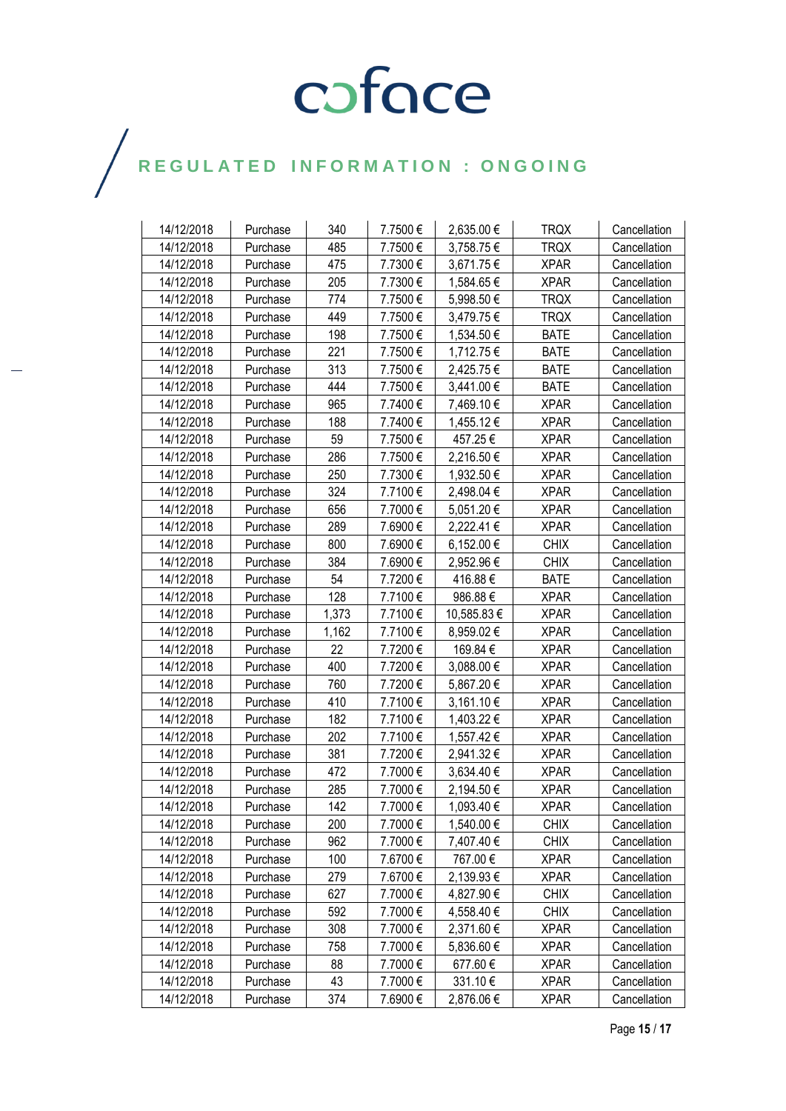| 14/12/2018 |                      | 340   | 7.7500€ | 2,635.00 €     | <b>TRQX</b> |                              |
|------------|----------------------|-------|---------|----------------|-------------|------------------------------|
| 14/12/2018 | Purchase<br>Purchase | 485   | 7.7500€ | 3,758.75€      | <b>TRQX</b> | Cancellation<br>Cancellation |
| 14/12/2018 | Purchase             | 475   | 7.7300€ | 3,671.75€      | <b>XPAR</b> | Cancellation                 |
| 14/12/2018 |                      | 205   | 7.7300€ | 1,584.65€      | <b>XPAR</b> |                              |
| 14/12/2018 | Purchase<br>Purchase | 774   | 7.7500€ | 5,998.50€      | <b>TRQX</b> | Cancellation                 |
| 14/12/2018 |                      | 449   |         |                | <b>TRQX</b> | Cancellation                 |
|            | Purchase             |       | 7.7500€ | 3,479.75 €     |             | Cancellation                 |
| 14/12/2018 | Purchase             | 198   | 7.7500€ | 1,534.50 €     | <b>BATE</b> | Cancellation                 |
| 14/12/2018 | Purchase             | 221   | 7.7500€ | 1,712.75€      | <b>BATE</b> | Cancellation                 |
| 14/12/2018 | Purchase             | 313   | 7.7500€ | 2,425.75 €     | <b>BATE</b> | Cancellation                 |
| 14/12/2018 | Purchase             | 444   | 7.7500€ | 3,441.00 €     | <b>BATE</b> | Cancellation                 |
| 14/12/2018 | Purchase             | 965   | 7.7400€ | 7,469.10 €     | <b>XPAR</b> | Cancellation                 |
| 14/12/2018 | Purchase             | 188   | 7.7400€ | 1,455.12 €     | <b>XPAR</b> | Cancellation                 |
| 14/12/2018 | Purchase             | 59    | 7.7500€ | 457.25€        | <b>XPAR</b> | Cancellation                 |
| 14/12/2018 | Purchase             | 286   | 7.7500€ | 2,216.50 €     | <b>XPAR</b> | Cancellation                 |
| 14/12/2018 | Purchase             | 250   | 7.7300€ | 1,932.50 €     | <b>XPAR</b> | Cancellation                 |
| 14/12/2018 | Purchase             | 324   | 7.7100€ | 2,498.04 €     | <b>XPAR</b> | Cancellation                 |
| 14/12/2018 | Purchase             | 656   | 7.7000€ | 5,051.20 €     | <b>XPAR</b> | Cancellation                 |
| 14/12/2018 | Purchase             | 289   | 7.6900€ | 2,222.41 €     | <b>XPAR</b> | Cancellation                 |
| 14/12/2018 | Purchase             | 800   | 7.6900€ | $6,152.00 \in$ | <b>CHIX</b> | Cancellation                 |
| 14/12/2018 | Purchase             | 384   | 7.6900€ | 2,952.96 €     | <b>CHIX</b> | Cancellation                 |
| 14/12/2018 | Purchase             | 54    | 7.7200€ | 416.88€        | <b>BATE</b> | Cancellation                 |
| 14/12/2018 | Purchase             | 128   | 7.7100€ | 986.88€        | <b>XPAR</b> | Cancellation                 |
| 14/12/2018 | Purchase             | 1,373 | 7.7100€ | 10,585.83 €    | <b>XPAR</b> | Cancellation                 |
| 14/12/2018 | Purchase             | 1,162 | 7.7100€ | 8,959.02€      | <b>XPAR</b> | Cancellation                 |
| 14/12/2018 | Purchase             | 22    | 7.7200€ | 169.84€        | <b>XPAR</b> | Cancellation                 |
| 14/12/2018 | Purchase             | 400   | 7.7200€ | 3,088.00 €     | <b>XPAR</b> | Cancellation                 |
| 14/12/2018 | Purchase             | 760   | 7.7200€ | 5,867.20€      | <b>XPAR</b> | Cancellation                 |
| 14/12/2018 | Purchase             | 410   | 7.7100€ | 3,161.10€      | <b>XPAR</b> | Cancellation                 |
| 14/12/2018 | Purchase             | 182   | 7.7100€ | 1,403.22 €     | <b>XPAR</b> | Cancellation                 |
| 14/12/2018 | Purchase             | 202   | 7.7100€ | 1,557.42€      | <b>XPAR</b> | Cancellation                 |
| 14/12/2018 | Purchase             | 381   | 7.7200€ | 2,941.32€      | <b>XPAR</b> | Cancellation                 |
| 14/12/2018 | Purchase             | 472   | 7.7000€ | 3,634.40 €     | <b>XPAR</b> | Cancellation                 |
| 14/12/2018 | Purchase             | 285   | 7.7000€ | 2,194.50 €     | <b>XPAR</b> | Cancellation                 |
| 14/12/2018 | Purchase             | 142   | 7.7000€ | 1,093.40 €     | <b>XPAR</b> | Cancellation                 |
| 14/12/2018 | Purchase             | 200   | 7.7000€ | 1,540.00 €     | <b>CHIX</b> | Cancellation                 |
| 14/12/2018 | Purchase             | 962   | 7.7000€ | 7,407.40 €     | <b>CHIX</b> | Cancellation                 |
| 14/12/2018 | Purchase             | 100   | 7.6700€ | 767.00€        | <b>XPAR</b> | Cancellation                 |
| 14/12/2018 | Purchase             | 279   | 7.6700€ | 2,139.93 €     | <b>XPAR</b> | Cancellation                 |
| 14/12/2018 | Purchase             | 627   | 7.7000€ | 4,827.90€      | <b>CHIX</b> | Cancellation                 |
| 14/12/2018 | Purchase             | 592   | 7.7000€ | 4,558.40 €     | <b>CHIX</b> | Cancellation                 |
| 14/12/2018 | Purchase             | 308   | 7.7000€ | 2,371.60 €     | <b>XPAR</b> | Cancellation                 |
| 14/12/2018 | Purchase             | 758   | 7.7000€ | 5,836.60 €     | <b>XPAR</b> | Cancellation                 |
| 14/12/2018 | Purchase             | 88    | 7.7000€ | 677.60€        | <b>XPAR</b> | Cancellation                 |
| 14/12/2018 | Purchase             | 43    | 7.7000€ | 331.10€        | <b>XPAR</b> | Cancellation                 |
| 14/12/2018 | Purchase             | 374   | 7.6900€ | 2,876.06€      | <b>XPAR</b> | Cancellation                 |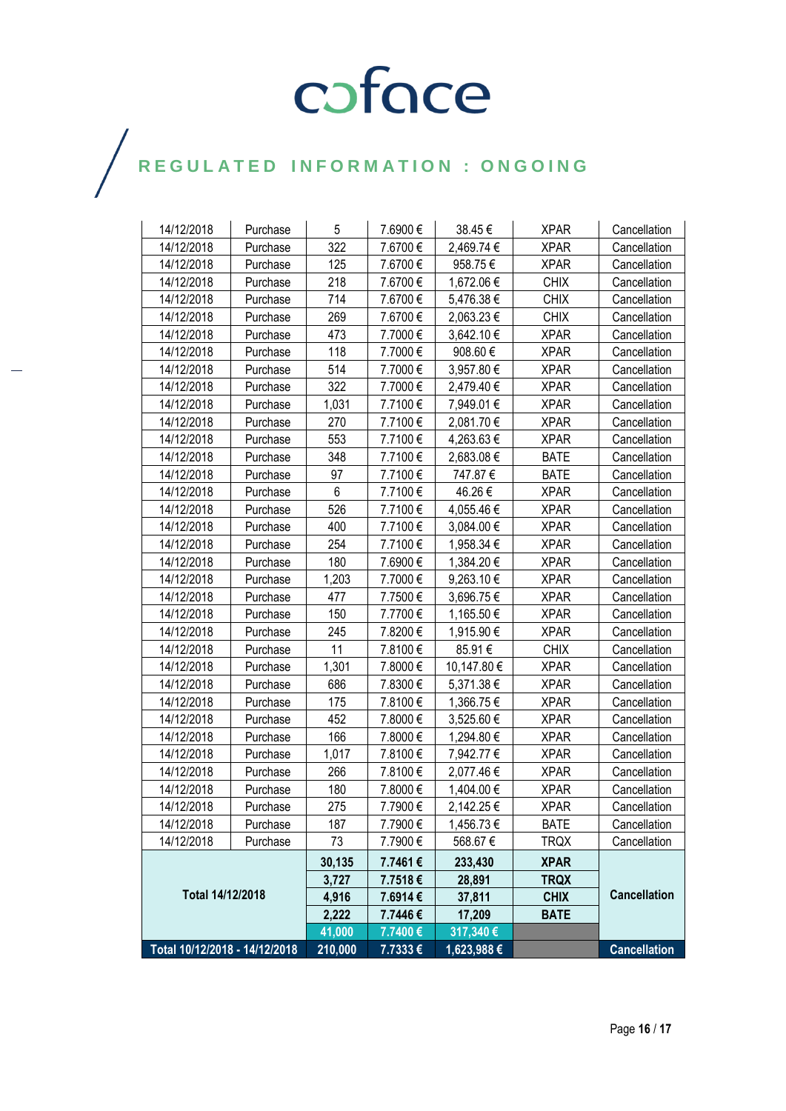| Total 10/12/2018 - 14/12/2018 |          | 210,000 | 7.7333€  | 1,623,988 € |             | <b>Cancellation</b> |
|-------------------------------|----------|---------|----------|-------------|-------------|---------------------|
| Total 14/12/2018              |          | 41,000  | 7.7400€  | 317,340 €   |             | <b>Cancellation</b> |
|                               |          | 2,222   | 7.7446€  | 17,209      | <b>BATE</b> |                     |
|                               |          | 4,916   | 7.6914€  | 37,811      | <b>CHIX</b> |                     |
|                               |          | 3,727   | 7.7518€  | 28,891      | <b>TRQX</b> |                     |
|                               |          | 30,135  | 7.7461€  | 233,430     | <b>XPAR</b> |                     |
| 14/12/2018                    | Purchase | 73      | 7.7900€  | 568.67€     | <b>TRQX</b> | Cancellation        |
| 14/12/2018                    | Purchase | 187     | 7.7900€  | 1,456.73 €  | <b>BATE</b> | Cancellation        |
| 14/12/2018                    | Purchase | 275     | 7.7900€  | 2,142.25€   | <b>XPAR</b> | Cancellation        |
| 14/12/2018                    | Purchase | 180     | 7.8000€  | 1,404.00 €  | <b>XPAR</b> | Cancellation        |
| 14/12/2018                    | Purchase | 266     | 7.8100€  | 2,077.46 €  | <b>XPAR</b> | Cancellation        |
| 14/12/2018                    | Purchase | 1,017   | 7.8100€  | 7,942.77 €  | <b>XPAR</b> | Cancellation        |
| 14/12/2018                    | Purchase | 166     | 7.8000€  | 1,294.80 €  | <b>XPAR</b> | Cancellation        |
| 14/12/2018                    | Purchase | 452     | 7.8000€  | 3,525.60 €  | <b>XPAR</b> | Cancellation        |
| 14/12/2018                    | Purchase | 175     | 7.8100€  | 1,366.75€   | <b>XPAR</b> | Cancellation        |
| 14/12/2018                    | Purchase | 686     | 7.8300€  | 5,371.38 €  | <b>XPAR</b> | Cancellation        |
| 14/12/2018                    | Purchase | 1,301   | 7.8000€  | 10,147.80 € | <b>XPAR</b> | Cancellation        |
| 14/12/2018                    | Purchase | 11      | 7.8100€  | 85.91€      | <b>CHIX</b> | Cancellation        |
| 14/12/2018                    | Purchase | 245     | 7.8200€  | 1,915.90 €  | <b>XPAR</b> | Cancellation        |
| 14/12/2018                    | Purchase | 150     | 7.7700€  | 1,165.50€   | <b>XPAR</b> | Cancellation        |
| 14/12/2018                    | Purchase | 477     | 7.7500€  | 3,696.75€   | <b>XPAR</b> | Cancellation        |
| 14/12/2018                    | Purchase | 1,203   | 7.7000€  | 9,263.10€   | <b>XPAR</b> | Cancellation        |
| 14/12/2018                    | Purchase | 180     | 7.6900 € | 1,384.20€   | <b>XPAR</b> | Cancellation        |
| 14/12/2018                    | Purchase | 254     | 7.7100€  | 1,958.34 €  | <b>XPAR</b> | Cancellation        |
| 14/12/2018                    | Purchase | 400     | 7.7100€  | 3,084.00 €  | <b>XPAR</b> | Cancellation        |
| 14/12/2018                    | Purchase | 526     | 7.7100€  | 4,055.46 €  | <b>XPAR</b> | Cancellation        |
| 14/12/2018                    | Purchase | 6       | 7.7100€  | 46.26€      | <b>XPAR</b> | Cancellation        |
| 14/12/2018                    | Purchase | 97      | 7.7100€  | 747.87€     | <b>BATE</b> | Cancellation        |
| 14/12/2018                    | Purchase | 348     | 7.7100€  | 2,683.08€   | <b>BATE</b> | Cancellation        |
| 14/12/2018                    | Purchase | 553     | 7.7100€  | 4,263.63€   | <b>XPAR</b> | Cancellation        |
| 14/12/2018                    | Purchase | 270     | 7.7100€  | 2,081.70 €  | <b>XPAR</b> | Cancellation        |
| 14/12/2018                    | Purchase | 1,031   | 7.7100€  | 7,949.01 €  | <b>XPAR</b> | Cancellation        |
| 14/12/2018                    | Purchase | 322     | 7.7000€  | 2,479.40 €  | <b>XPAR</b> | Cancellation        |
| 14/12/2018                    | Purchase | 514     | 7.7000€  | 3,957.80 €  | <b>XPAR</b> | Cancellation        |
| 14/12/2018                    | Purchase | 118     | 7.7000€  | 908.60€     | <b>XPAR</b> | Cancellation        |
| 14/12/2018                    | Purchase | 473     | 7.7000€  | 3,642.10 €  | <b>XPAR</b> | Cancellation        |
| 14/12/2018                    | Purchase | 269     | 7.6700€  | 2,063.23 €  | <b>CHIX</b> | Cancellation        |
| 14/12/2018                    | Purchase | 714     | 7.6700€  | 5,476.38 €  | <b>CHIX</b> | Cancellation        |
| 14/12/2018                    | Purchase | 218     | 7.6700€  | 1,672.06 €  | <b>CHIX</b> | Cancellation        |
| 14/12/2018                    | Purchase | 125     | 7.6700€  | 958.75€     | <b>XPAR</b> | Cancellation        |
| 14/12/2018                    | Purchase | 322     | 7.6700€  | 2,469.74 €  | <b>XPAR</b> | Cancellation        |
| 14/12/2018                    | Purchase | 5       | 7.6900€  | 38.45€      | <b>XPAR</b> | Cancellation        |